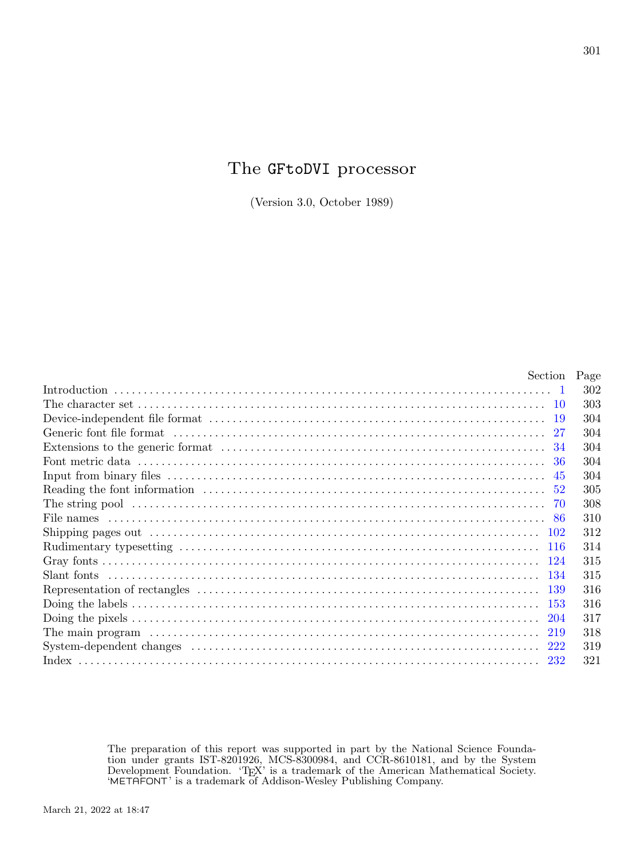## The GFtoDVI processor

(Version 3.0, October 1989)

| Section | Page |
|---------|------|
|         | 302  |
| -10     | 303  |
|         | 304  |
|         | 304  |
|         | 304  |
|         | 304  |
| 45      | 304  |
|         | 305  |
|         | 308  |
|         | 310  |
|         | 312  |
|         | 314  |
|         | 315  |
|         | 315  |
|         | 316  |
|         | 316  |
|         | 317  |
|         | 318  |
|         | 319  |
|         | 321  |

The preparation of this report was supported in part by the National Science Foundation under grants IST-8201926, MCS-8300984, and CCR-8610181, and by the System Development Foundation. 'TEX' is a trademark of the American Mathematical Society. 'METAFONT' is a trademark of Addison-Wesley Publishing Company.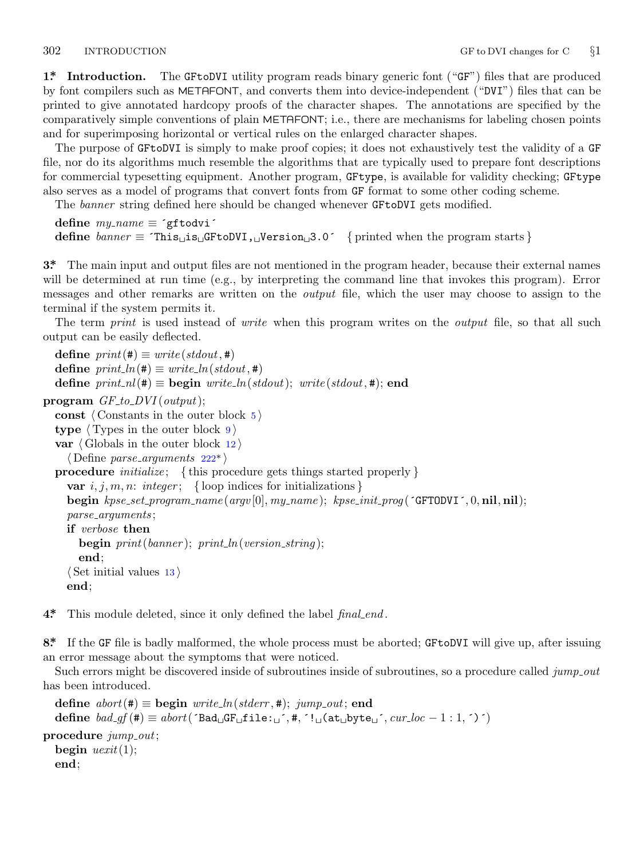<span id="page-1-0"></span>

**1\*. Introduction.** The GFtoDVI utility program reads binary generic font ("GF") files that are produced by font compilers such as METAFONT, and converts them into device-independent ("DVI") files that can be printed to give annotated hardcopy proofs of the character shapes. The annotations are specified by the comparatively simple conventions of plain METAFONT; i.e., there are mechanisms for labeling chosen points and for superimposing horizontal or vertical rules on the enlarged character shapes.

The purpose of GFtoDVI is simply to make proof copies; it does not exhaustively test the validity of a GF file, nor do its algorithms much resemble the algorithms that are typically used to prepare font descriptions for commercial typesetting equipment. Another program, GFtype, is available for validity checking; GFtype also serves as a model of programs that convert fonts from GF format to some other coding scheme.

The *banner* string defined here should be changed whenever GFtoDVI gets modified.

```
define my name ≡ ´gftodvi´
define \text{banner} \equiv \text{This} \text{ and } \text{GFto} \text{DIVI}, \text{Weersion}, 3.0^\circ \text{ { printed when the program starts } }
```
**3\*.** The main input and output files are not mentioned in the program header, because their external names will be determined at run time (e.g., by interpreting the command line that invokes this program). Error messages and other remarks are written on the *output* file, which the user may choose to assign to the terminal if the system permits it.

The term *print* is used instead of *write* when this program writes on the *output* file, so that all such output can be easily deflected.

```
\text{define } print(\texttt{\#}) \equiv write (stdout, \texttt{\#})ne } print\_ln(\texttt{\#}) \equiv write\_ln(\text{stdout},\texttt{\#})define print\_nl(\textbf{\#}) \equiv begin write\_ln(stat); write(stdout, \textbf{\#}); end
program GF_to_DVI(out);
  const ⟨ Constants in the outer block 5 ⟩
  type ⟨ Types in the outer block 9 ⟩
  var ⟨ Globals in the outer block 12 ⟩
     ⟨ Define parse arguments 222* ⟩
  procedure initialize ; { this procedure gets things started properly }
     var i, j, m, n: integer; {loop indices for initializations}
     begin kpse set program name (argv [0], my name ); kpse init prog (´GFTODVI´, 0, nil, nil);
     parse arguments ;
     if verbose then
       begin print(banner ); print ln(version string );
       end;
     ⟨ Set initial values 13 ⟩
     end;
```
**4\*.** This module deleted, since it only defined the label *final end* .

**8\*.** If the GF file is badly malformed, the whole process must be aborted; GFtoDVI will give up, after issuing an error message about the symptoms that were noticed.

Such errors might be discovered inside of subroutines inside of subroutines, so a procedure called *jump out* has been introduced.

```
define abort(\textbf{\#}) \equiv \textbf{begin} write_ln(stderr, #); jump\_out; end
  define bad_qf(\texttt{#}) ≡ abort('Bad_qF_qfile:_q', \texttt{#}, '!_q(at_qbyte_q', \texttt{#}, '!_qcode'')')procedure jump out;
  begin uexit(1);
  end;
```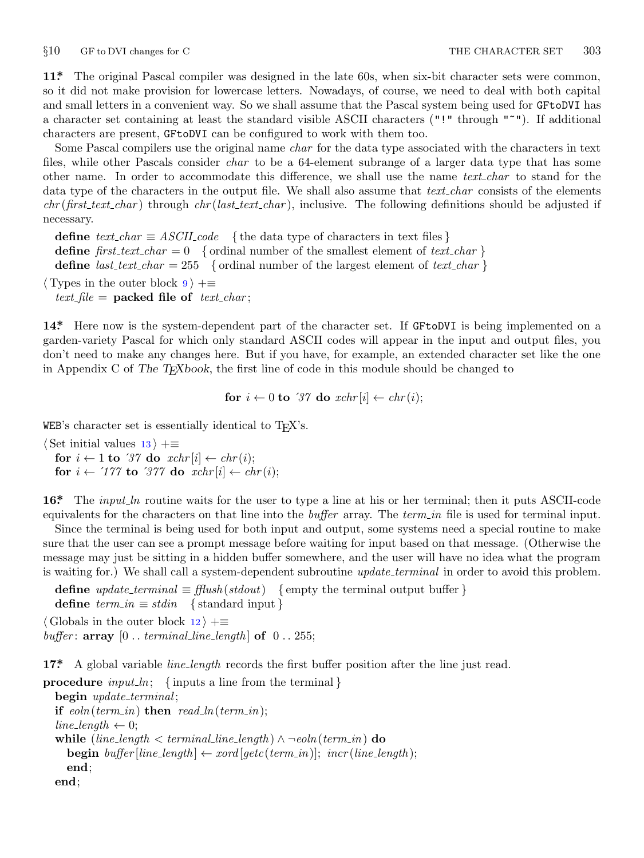<span id="page-2-0"></span>

**11\*.** The original Pascal compiler was designed in the late 60s, when six-bit character sets were common, so it did not make provision for lowercase letters. Nowadays, of course, we need to deal with both capital and small letters in a convenient way. So we shall assume that the Pascal system being used for GFtoDVI has a character set containing at least the standard visible ASCII characters ("!" through "~"). If additional characters are present, GFtoDVI can be configured to work with them too.

Some Pascal compilers use the original name *char* for the data type associated with the characters in text files, while other Pascals consider *char* to be a 64-element subrange of a larger data type that has some other name. In order to accommodate this difference, we shall use the name *text char* to stand for the data type of the characters in the output file. We shall also assume that *text char* consists of the elements *chr* (*first text char* ) through *chr* (*last text char* ), inclusive. The following definitions should be adjusted if necessary.

**define**  $text\_text\_char \equiv ASCII\_code$  { the data type of characters in text files } **define**  $first\_text\_char = 0$  {ordinal number of the smallest element of  $text\_char }$ } **define**  $last\_text\_char = 255$  {ordinal number of the largest element of  $text\_char$ }

*⟨* Types in the outer block 9 *⟩* +*≡*  $text$ *file* = **packed file of**  $text$ *char*;

**14\*.** Here now is the system-dependent part of the character set. If GFtoDVI is being implemented on a garden-variety Pascal for which only standard ASCII codes will appear in the input and output files, you don't need to make any changes here. But if you have, for example, an extended character set like the one in Appendix C of *The TEXbook*, the first line of code in this module should be changed to

**for**  $i \leftarrow 0$  **to** '37 **do**  $xchr[i] \leftarrow chr(i);$ 

WEB's character set is essentially identical to  $T_{F}X'$ s.

*⟨* Set initial values 13 *⟩* +*≡* **for**  $i \leftarrow 1$  **to** '37 **do**  $xchr[i] \leftarrow chr(i);$ **for**  $i \leftarrow \text{'}177$  **to**  $\text{'}377$  **do**  $\text{'}xchr[i] \leftarrow \text{'}chr(i);$ 

**16\*.** The *input ln* routine waits for the user to type a line at his or her terminal; then it puts ASCII-code equivalents for the characters on that line into the *buffer* array. The *term in* file is used for terminal input.

Since the terminal is being used for both input and output, some systems need a special routine to make sure that the user can see a prompt message before waiting for input based on that message. (Otherwise the message may just be sitting in a hidden buffer somewhere, and the user will have no idea what the program is waiting for.) We shall call a system-dependent subroutine *update terminal* in order to avoid this problem.

**define**  $update\_terminal \equiv \text{fflush}(stdout)$  {empty the terminal output buffer } **define**  $term_in \equiv stdin$  {standard input } *⟨* Globals in the outer block 12 *⟩* +*≡*

*buffer*:  $\textbf{array}$  [0 . *terminal\_line\_length*]  $\textbf{of}$  0 . . 255;

**17\*.** A global variable *line length* records the first buffer position after the line just read.

**procedure** *input ln*; *{* inputs a line from the terminal *}* **begin** *update terminal* ; **if**  $e$ *oln*( $term$ *in*) **then**  $read$ *ln*( $term$ *in*);  $line_length \leftarrow 0$ ; **while** (*line length < terminal line length* ) *∧ ¬eoln*(*term in*) **do**  $\mathbf{begin}[c] \mathbf{begin}[c] \mathbf{begin}[c] \mathbf{begin}[c] \mathbf{begin}[c] \mathbf{begin}[c] \mathbf{begin}[c] \mathbf{begin}[c] \mathbf{begin[c] \mathbf{begin[c] \mathbf{begin[c] \mathbf{bold[}% \mathbf{begin[c] \mathbf{bold[}% \mathbf{begin[c] \mathbf{bold[}% \mathbf{begin[c] \mathbf{bold[}% \mathbf{begin[c] \mathbf{bold[}% \mathbf{begin[c] \mathbf{bold[}% \mathbf{bold[}% \mathbf{begin[c] \mathbf{bold[}% \mathbf{bold[}% \mathbf{begin[c] \mathbf{bold[}% \mathbf{bold[$ **end**; **end**;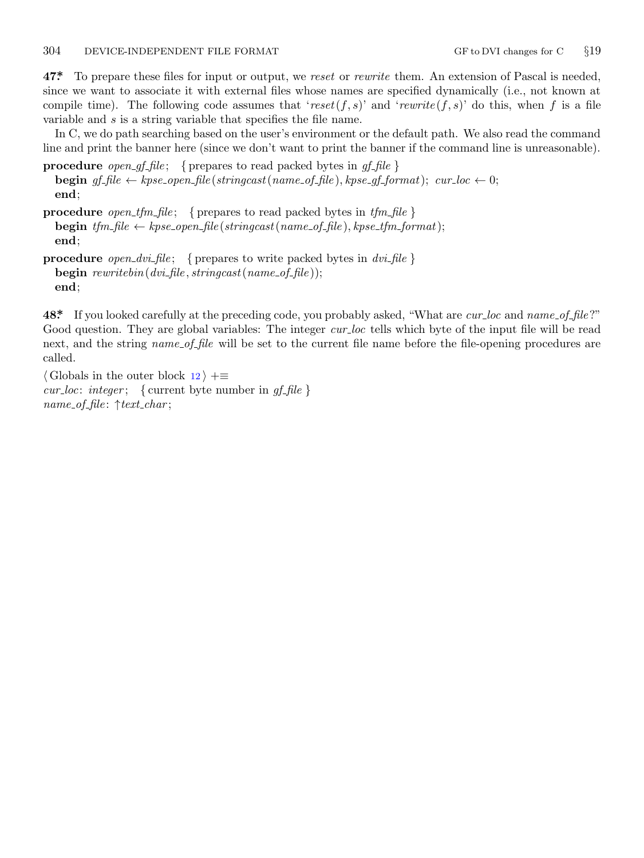<span id="page-3-0"></span>**47\*.** To prepare these files for input or output, we *reset* or *rewrite* them. An extension of Pascal is needed, since we want to associate it with external files whose names are specified dynamically (i.e., not known at compile time). The following code assumes that '*reset*( $f, s$ )' and '*rewrite*( $f, s$ )' do this, when  $f$  is a file variable and *s* is a string variable that specifies the file name.

In C, we do path searching based on the user's environment or the default path. We also read the command line and print the banner here (since we don't want to print the banner if the command line is unreasonable).

**procedure** *open\_gf\_file*; { prepares to read packed bytes in  $gf$ \_file } **begin**  $gf$   $file \leftarrow kpse\_open$   $file(stringcast(name_of_file), kpse\_gf.format); curlloc \leftarrow 0;$ **end**;

**procedure** *open tfm file* ; *{* prepares to read packed bytes in *tfm file }* **begin**  $tfm$   $file \leftarrow kpse\_open$   $file(stringcast(name_of$   $file), kpse\_tfm\_format);$ **end**;

```
procedure open dvi file ; { prepares to write packed bytes in dvi file }
  begin rewritebin(dvi file , stringcast(name of file ));
  end;
```
**48\*.** If you looked carefully at the preceding code, you probably asked, "What are *cur loc* and *name of file* ?" Good question. They are global variables: The integer *cur loc* tells which byte of the input file will be read next, and the string *name\_of\_file* will be set to the current file name before the file-opening procedures are called.

*⟨* Globals in the outer block 12 *⟩* +*≡ cur*  $loc: integer;$  { current byte number in *gf file* } *name of file* : *↑text char* ;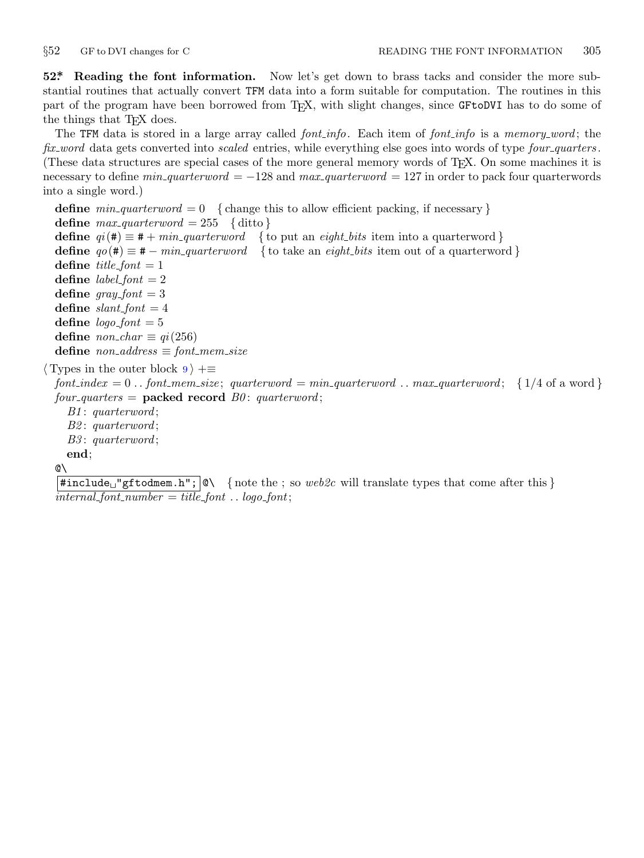<span id="page-4-0"></span>

**52\*. Reading the font information.** Now let's get down to brass tacks and consider the more substantial routines that actually convert TFM data into a form suitable for computation. The routines in this part of the program have been borrowed from TEX, with slight changes, since GFtoDVI has to do some of the things that T<sub>E</sub>X does.

The TFM data is stored in a large array called *font info*. Each item of *font info* is a *memory word* ; the *fix word* data gets converted into *scaled* entries, while everything else goes into words of type *four quarters* . (These data structures are special cases of the more general memory words of TEX. On some machines it is necessary to define *min quarterword* = *−*128 and *max quarterword* = 127 in order to pack four quarterwords into a single word.)

```
define min\_quarterword = 0 {change this to allow efficient packing, if necessary }
  define max\_quarterword = 255 {ditto}
  define qi(\textbf{\#}) \equiv \textbf{\#} + min\_quarterword { to put an eight_bits item into a quarterword }
  define qo(\textbf{#}) \equiv \textbf{#} - min\_quarterword { to take an eight_bits item out of a quarterword }
  define title\_font = 1define label_{font} = 2define gray\_font = 3define slant\_font = 4define \loglogo_font = 5
  define \textit{non}\_\textit{char} \equiv \textit{qi}(256)\text{define } non\_address \equiv font\_mem\_size⟨ Types in the outer block 9 ⟩ +≡
  font_index = 0...font_mem_size; quarterword = min\_quarterword...max\_quarterword; {1/4 of a word}
```
 $four\_\_quarters = \textbf{packet}\ \textbf{record}\ \textit{B0}:$  quarterword;

*B1* : *quarterword* ; *B2* : *quarterword* ; *B3* : *quarterword* ; **end**;

@\

 $\#include \text{ifoldskip}{\text{ifoldskip}}$   $\text{ifoldskip}{\text{ifoldskip}}$   $\text{ifoldskip}{\text{ifoldskip}}$   $\{ \text{not } \text{ifoldskip}}$   $\{ \text{not } \text{ifoldskip}}$   $\{ \text{not } \text{ifoldskip}}$   $\{ \text{not } \text{ifoldskip}}$   $\{ \text{not } \text{ifoldskip}}$   $\{ \text{not } \text{ifoldskip}}$   $\{ \text{not } \text{ifoldskip}}$   $\{ \text{not } \text{ifoldskip}}$   $\{ \text{not } \text{ifoldskip}}$   $\{ \text{not } \text{ifoldskip$  $intermal\_font\_number = title\_font \dots logo\_font;$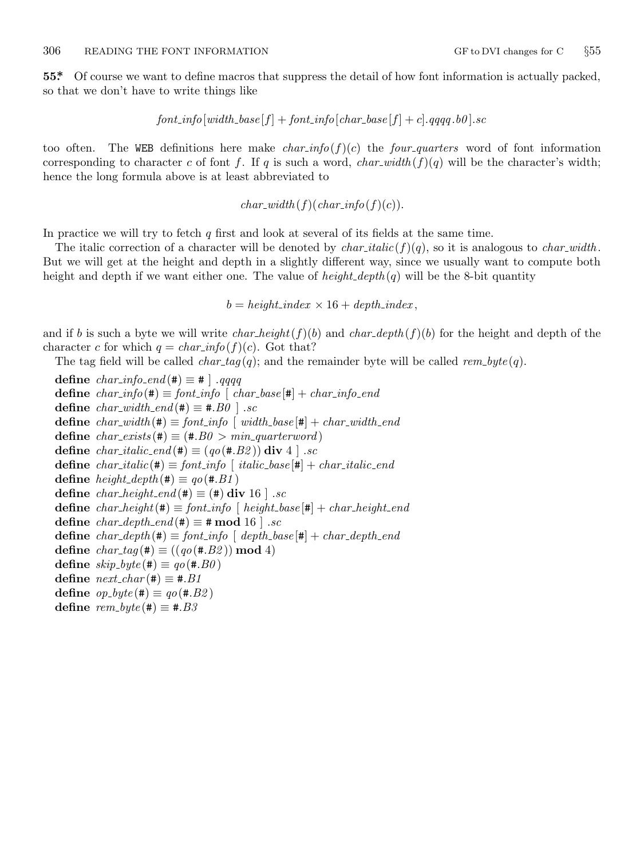<span id="page-5-0"></span>**55\*.** Of course we want to define macros that suppress the detail of how font information is actually packed, so that we don't have to write things like

 $font\_info[width\_base[f] + font\_info[char\_base[f] + c]$ *.* $qqqq, b0]$ *.sc* 

too often. The WEB definitions here make *char-info*( $f(c)$ ) the *four-quarters* word of font information corresponding to character *c* of font f. If q is such a word, *char\_width*  $(f)(q)$  will be the character's width; hence the long formula above is at least abbreviated to

 $char\_width(f)(char\_info(f)(c)).$ 

In practice we will try to fetch *q* first and look at several of its fields at the same time.

The italic correction of a character will be denoted by  $char\_italic(f)(q)$ , so it is analogous to *char\_width*. But we will get at the height and depth in a slightly different way, since we usually want to compute both height and depth if we want either one. The value of *height depth* (*q*) will be the 8-bit quantity

 $b = height\_index \times 16 + depth\_index$ 

and if *b* is such a byte we will write *char height*( $f$ )(*b*) and *char depth*( $f$ )(*b*) for the height and depth of the character *c* for which  $q = char_info(f)(c)$ . Got that?

The tag field will be called  $char\_tag(q)$ ; and the remainder byte will be called  $rem\_byte(q)$ .

**define**  $char\_info\_end$  (#)  $\equiv$  # | .*qqqq* **define**  $char\text{-}info(\textbf{\#}) \equiv font\text{-}info \restriction char\text{-}base[\textbf{\#}] + char\text{-}info\text{-}end$ **define**  $char\_width\_end$  (#)  $\equiv$  #.*B0* | .sc **define**  $char\_width(*) \equiv font\_info \mid width\_base| \neq \text{char\_width\_end}$ **define**  $char\_exists(\textbf{\#}) \equiv (\textbf{\#}.B0 > min\_quarterword)$ **define**  $char\_italic\_end(\#) \equiv (qo(\#.B2))$  **div** 4  $\,$ .*sc* **define**  $char\_italic(\textbf{\#}) \equiv font\_info \restriction italic\_base[\textbf{\#}] + char\_italic\_end$ **define**  $height\_depth$  (#)  $\equiv qo$  (#*.B1*) **define**  $char\_height\_end$  (#)  $\equiv$  (#) **div** 16 ] .*sc* **define**  $char\_height(\#) \equiv font\_info \ [height\_base[\#] + char\_height\_end$ **define**  $char\_depth\_end$  (#)  $\equiv$  # **mod** 16  $\cdot$  *sc* **define**  $char\_depth$  (#)  $\equiv$   $font\_info$  [  $depth\_base$  [#]  $+ char\_depth\_end$ **define**  $char\_tag{#} \equiv ((qo(\text{#}.B2)) \mod 4)$  $\text{define } skip\_byte(\texttt{\#}) \equiv qo(\texttt{\#}.B0)$  $\text{define } next\_char(\texttt{\#}) \equiv \texttt{\#}.B1$  $\text{define } op\_byte(\texttt{\#}) \equiv go(\texttt{\#}.B2)$ define  $rem\_byte$  (#) ≡ #*.B3*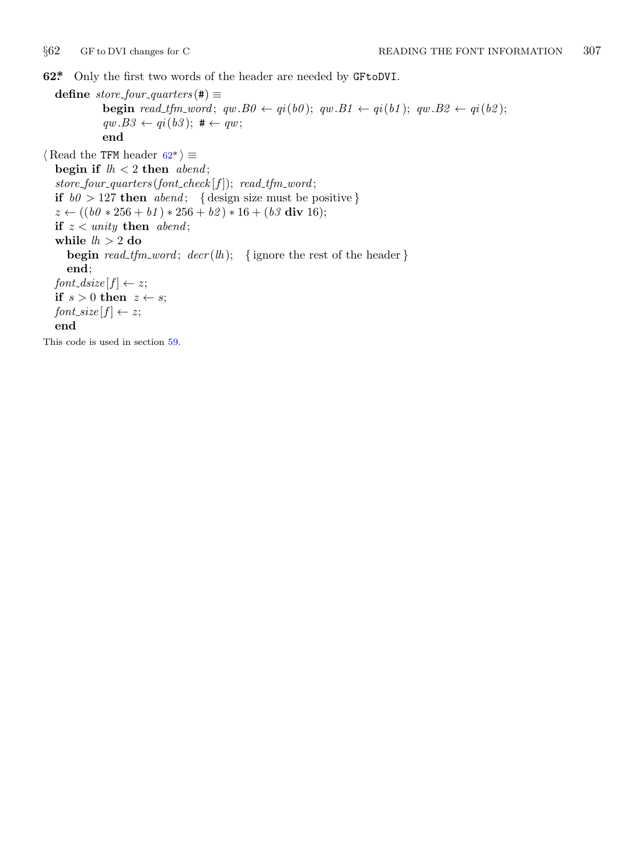<span id="page-6-0"></span>

**62\*.** Only the first two words of the header are needed by GFtoDVI.

 $\text{define } store\_four\_ quarters \text{ } (\#) \equiv$ **begin** read\_tfm\_word;  $qw.B0 \leftarrow qi(b0)$ ;  $qw.B1 \leftarrow qi(b1)$ ;  $qw.B2 \leftarrow qi(b2)$ ;  $qw.B3 \leftarrow qi(b3);$   $# \leftarrow qw;$ **end**  $\langle$  Read the TFM header 62<sup>\*</sup>  $\rangle$  ≡ **begin if** *lh <* 2 **then** *abend* ;  $store_four\_\_quarters(font\_check[f]);\ read\_\_tfm\_\_word;$ **if**  $b0 > 127$  **then** *abend*; { design size must be positive} *z* ← ((*b0*  $*256 + b1$ )  $*256 + b2$ )  $*16 + (b3$  div 16); **if** *z < unity* **then** *abend* ; **while** *lh >* 2 **do begin** *read\_tfm\_word*;  $decr(h)$ ; {ignore the rest of the header } **end**;  $font\_disize[f] \leftarrow z;$ **if**  $s > 0$  **then**  $z \leftarrow s$ ; *font\_size*  $[f] \leftarrow z$ ; **end** This code is used in section 59.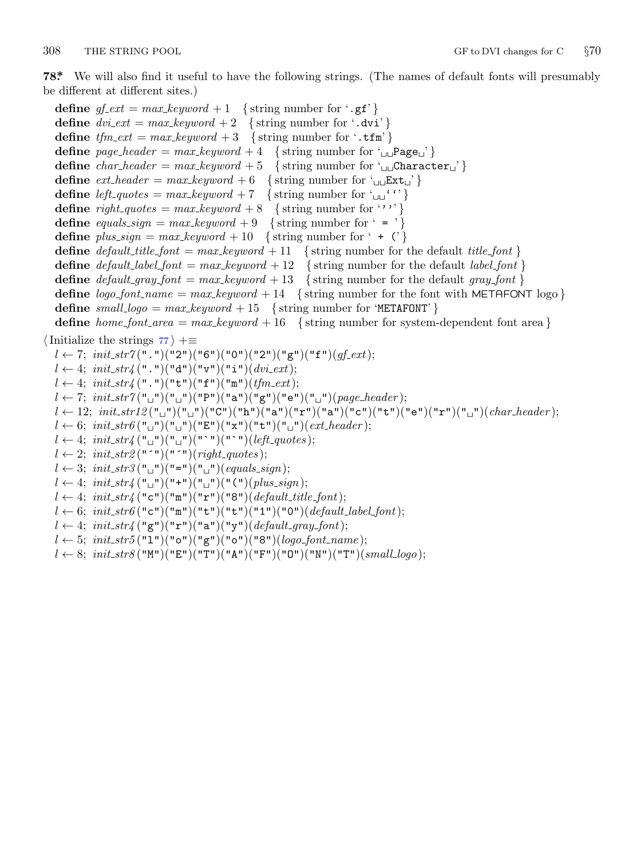<span id="page-7-0"></span>

**78\*.** We will also find it useful to have the following strings. (The names of default fonts will presumably be different at different sites.)

**define**  $gf\_ext = max\_keyword + 1$  {string number for '.gf'} **define**  $div{\text{.}ext} = max{\text{.}keyword + 2}$  {string number for '.dvi'} **define**  $tfm\_ext = max\_keyword + 3$  {string number for '.tfm'} **define**  $page\_header = max\_keyword + 4 \{ \text{string number for '_{\text{ul}} \text{Page}_{\text{u}}' \}$ **define**  $char\_header = max\_keyword + 5$  {string number for ' $\sqcup \sqcup$ Character<sub> $\sqcup$ </sub>'} **define**  $ext\_header = max\_keyword + 6$  {string number for ' $\cup \text{Ext}_\Box$ '} **define** *left\_quotes* =  $max\_keyword + 7$  {string number for ' $\Box$ '' } **define** *right\_quotes* =  $max\_keyword + 8$  { string number for ''''} **define** *equals\_sign* =  $max\_keyword + 9$  { string number for ' = '} **define**  $plus\_sign = max\_keyword + 10 \{ \text{string number for ' + (')} \}$ **define**  $default\_title\_font = max\_keyword + 11$  {string number for the default *title\_font* } **define**  $default\_label\_font = max\_keyword + 12$  {string number for the default *label\_font* } **define**  $default\_gray\_font = max\_keyword + 13$  {string number for the default *gray\_font* } **define**  $\log o$  *font\_name* =  $\max$  *keyword* + 14 { string number for the font with METAFONT logo } **define**  $small\_logo = max\_keyword + 15 \{string number for 'METAFONT' \}$ **define** *home\_font\_area* =  $max\_keyword + 16$  {string number for system-dependent font area } *⟨*Initialize the strings 77 *⟩* +*≡*  $l \leftarrow 7$ ; *init\_str*7(".")("2")("6")("0")("2")("g")("f")(*qf\_ext*);  $l \leftarrow 4$ ; *init\_str4* (".")("d")("v")("i")(*dvi\_ext*);  $l \leftarrow 4$ ; *init\_str4* (".")("t")("f")("m")(*tfm\_ext*);  $l \leftarrow 7; \; init\_str7("□")("□")("P")("a")("g")("e")("□")(*page\_header*);$ *l ←* 12; *init str12* ("␣")("␣")("C")("h")("a")("r")("a")("c")("t")("e")("r")("␣")(*char header* );  $l \leftarrow 6$ ;  $init\_str6$  (" $\sqcup$ ")(" $\sqcup$ ")("E")("x")("t")(" $\sqcup$ ")(*ext\_header*);  $l \leftarrow 4$ ;  $init\_str4$  (" $\sqcup$ ")(" $\sqcup$ ")("`")("`")(*left\_quotes*);  $l \leftarrow 2$ ;  $init\_str2("T")("T")(right\_ght\_quotes);$  $l \leftarrow 3$ ;  $init\_str3("^{\mathsf{u}})("^{\mathsf{u}})("^{\mathsf{u}})('^{\mathsf{u}})('^{\mathsf{u}})('^{\mathsf{u}})('^{\mathsf{u}})('^{\mathsf{u}})('^{\mathsf{u}})('^{\mathsf{u}})('^{\mathsf{u}})('^{\mathsf{u}})('^{\mathsf{u}})('^{\mathsf{u}})('^{\mathsf{u}})('^{\mathsf{u}})('^{\mathsf{u}})('^{\mathsf{u}})('^{\mathsf{u}})('^{\mathsf{u}})('^{\mathsf{u}})('^{\mathsf{u}})('^{\mathsf{u}}$  $l \leftarrow 4$ ; *init\_str4* ("<sub></sub>□")("+")("<sub>□</sub>")("(")(*plus\_sign*);  $l \leftarrow 4; \ init\_str4 \left( "c" \right) \left( "m" \right) \left( "r" \right) \left( "8" \right) \left( \text{default\_title\_font} \right);$  $l \leftarrow 6$ ; *init\_str6* ("c")("m")("t")("t")("1")("0")(*default\_label\_font*);  $l \leftarrow 4$ ;  $init\_str$ / $\left( \n\begin{bmatrix} \n\text{m} \\ \text{m} \n\end{bmatrix} \right) \left( \n\begin{bmatrix} \n\text{m} \\ \text{n} \n\end{bmatrix} \right) \left( \n\begin{bmatrix} \n\text{m} \\ \text{m} \n\end{bmatrix} \right) \left( \n\begin{bmatrix} \n\text{m} \\ \text{m} \n\end{bmatrix} \right) \left( \n\begin{bmatrix} \n\text{m} \\ \text{m} \n\end{bmatrix} \right) \left( \n\begin{bmatrix} \n\text{m} \\ \text{m} \n\end{b$  $l \leftarrow 5$ ;  $init\_str5$  ("1")("o")("g")("o")("8")(*logo\_font\_name*); *l ←* 8; *init str8* ("M")("E")("T")("A")("F")("O")("N")("T")(*small logo*);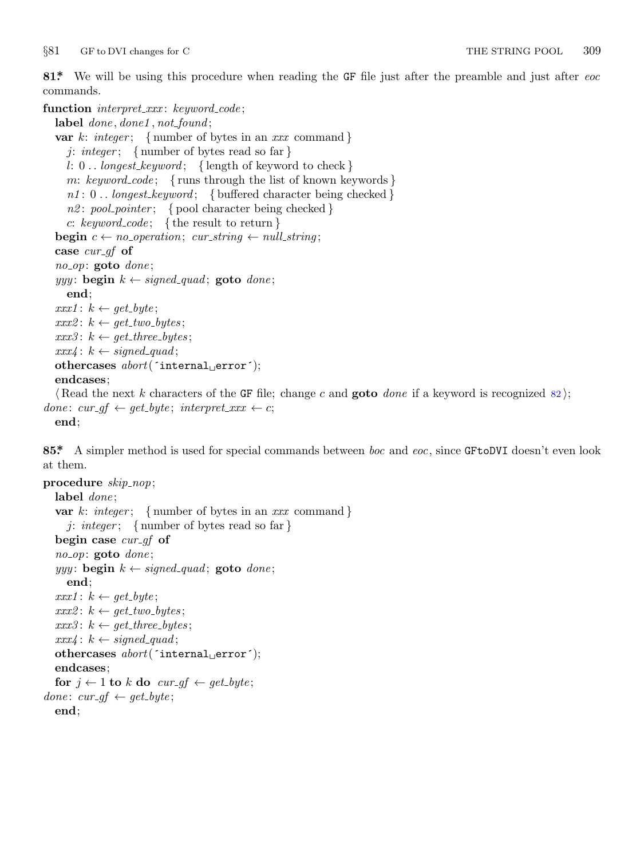<span id="page-8-0"></span>*§*81 GF to DVI changes for C THE STRING POOL 309

**81\*.** We will be using this procedure when reading the GF file just after the preamble and just after *eoc* commands.

**function** *interpret xxx* : *keyword code* ; **label** *done , done1 , not found* ; **var** *k*: *integer* ; *{* number of bytes in an *xxx* command *} j*: *integer* ; *{* number of bytes read so far *} l*: 0 *. . longest keyword* ; *{* length of keyword to check *} m*: *keyword code* ; *{* runs through the list of known keywords *} n1* : 0 *. . longest keyword* ; *{* buffered character being checked *} n2* : *pool pointer* ; *{* pool character being checked *} c*: *keyword code* ; *{* the result to return *}* **begin**  $c \leftarrow no\_operation$ ;  $cur\_string \leftarrow null\_string$ ; **case** *cur gf* **of** *no op*: **goto** *done* ;  $yyy$ : **begin**  $k \leftarrow signed\_quad$ ; **goto** *done*; **end**;  $xxx1: k \leftarrow get\_byte;$  $xxx2: k \leftarrow get\_two\_bytes;$  $xxx3: k \leftarrow get\_three\_bytes;$  $xxx4: k \leftarrow signed\_quad;$ **othercases** *abort*(´internal␣error´); **endcases**; *⟨* Read the next *k* characters of the GF file; change *c* and **goto** *done* if a keyword is recognized 82 *⟩*;  $done: \, cur\_gf \leftarrow get\_byte; \, interpret\_xxx \leftarrow c;$ **end**;

**85\*.** A simpler method is used for special commands between *boc* and *eoc*, since GFtoDVI doesn't even look at them.

```
procedure skip nop;
  label done ;
  var k: integer ; { number of bytes in an xxx command }
     j: integer ; { number of bytes read so far }
  begin case cur gf of
  no op: goto done ;
  yyy: begin k \leftarrow signed\_quad; goto done;
     end;
  xxx1: k \leftarrow get\_byte;xxx2: k \leftarrow get\_two\_bytes;xxx3: k \leftarrow get\_three\_bytes;xxx4: k \leftarrow signed\_quad;othercases abort(´internal␣error´);
  endcases;
  for j \leftarrow 1 to k do cur\_gf \leftarrow get\_byte;done: \, \textit{cur\_gf} \leftarrow \textit{get\_byte};end;
```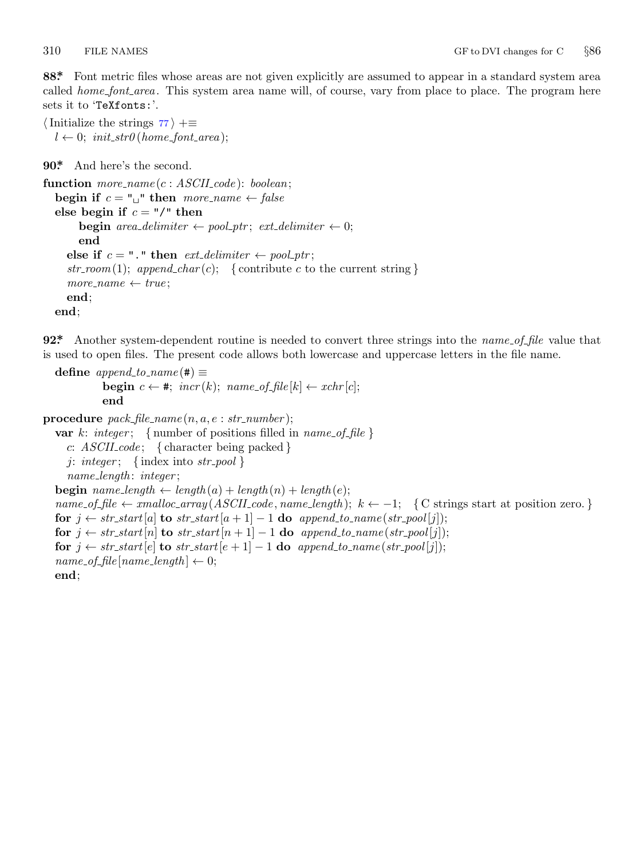<span id="page-9-0"></span>

**88\*.** Font metric files whose areas are not given explicitly are assumed to appear in a standard system area called *home\_font\_area*. This system area name will, of course, vary from place to place. The program here sets it to 'TeXfonts:'.

*⟨*Initialize the strings 77 *⟩* +*≡*  $l \leftarrow 0$ ;  $init\_str0$  (*home\_font\_area*);

```
90*. And here's the second.
```

```
function more name (c : ASCII code ): boolean;
  begin if c = "\sqcup" then more\_name \leftarrow falseelse begin if c = \frac{1}{\pi} then
       begin area\_delimiter \leftarrow pool\_ptr; ext\_delimiter \leftarrow 0;
       end
     else if c = "." then ext\_delimeter \leftarrow pool\_ptr;
     str\_room(1); append_char(c); { contribute c to the current string }
     more_name \leftarrow trueend;
  end;
```
**92\*.** Another system-dependent routine is needed to convert three strings into the *name of file* value that is used to open files. The present code allows both lowercase and uppercase letters in the file name.

```
\text{define } append\_to\_name(\#) \equivbegin c \leftarrow \#; \text{incr}(k); \text{name_of_file}[k] \leftarrow \text{xchr}[c];
              end
```

```
procedure pack\_file\_name(n, a, e: str\_number);var k: integer; { number of positions filled in name_of_file}
    c: ASCII code ; { character being packed }
    j: integer ; { index into str pool }
     name length : integer ;
  begin name_length \leftarrow length(a) + length(n) + length(e);name_of_file \leftarrow smalloc_array (ASCII-code, name_length); k \leftarrow -1; { C strings start at position zero. }
  for j \leftarrow str\_start[a] to str\_start[a+1]-1 do append\_to\_name(str\_pool[j]);
  for j \leftarrow str\_start[n] to str\_start[n+1] − 1 do append\_to\_name(str\_pool[j]);
  for j \leftarrow str\_start[e] to str\_start[e + 1] - 1 do append\_to\_name(str\_pool[j]);name\_of\_file(name\_length] \leftarrow 0;end;
```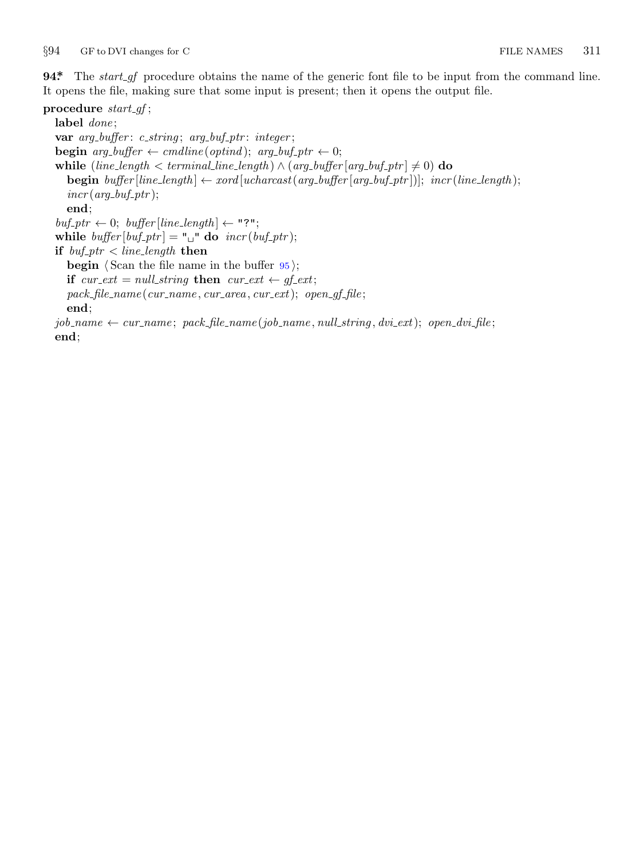<span id="page-10-0"></span>*§*94 GF to DVI changes for C FILE NAMES 311

**94\*** The *start\_gf* procedure obtains the name of the generic font file to be input from the command line. It opens the file, making sure that some input is present; then it opens the output file.

**procedure** *start gf* ; **label** *done* ; **var** *arg buffer* : *c string* ; *arg buf ptr* : *integer* ; **begin**  $arg_b{\text{buffer}} \leftarrow \text{c}{{\text{m}}{\text{d}}{\text{line}}}({\text{optind}}); \text{ } arg_b{\text{inf}}{\text{ptr}} \leftarrow 0;$ **while**  $(line_length < term>terminalLine_length) \land (arg_buffer[arg_buff_prr] \neq 0)$  **do begin**  $buffer[line\_length] \leftarrow xord[ucharast(arg\_buffer[arg\_buffer]])$ ;  $incr(line\_length)$ ;  $incr(arg_buf_ptr);$ **end**;  $buf\_ptr \leftarrow 0$ ;  $buffer[line\_length] \leftarrow "?";$ while  $\text{buffer} [\text{buf}\_ptr] = "\sqcup" \textbf{do} \ \text{incr}(\text{buf}\_ptr);$ **if**  $buf\_ptr$  ine\_length **then begin** *⟨* Scan the file name in the buffer 95 *⟩*; **if**  $cur\_ext = null\_string$  **then**  $cur\_ext \leftarrow gf\_ext$ ; *pack file name* (*cur name , cur area , cur ext*); *open gf file* ; **end**;  $job_name \leftarrow cur_name; pack_file_name(job_name, null-string, dvix.txt); open_dvikfile;$ **end**;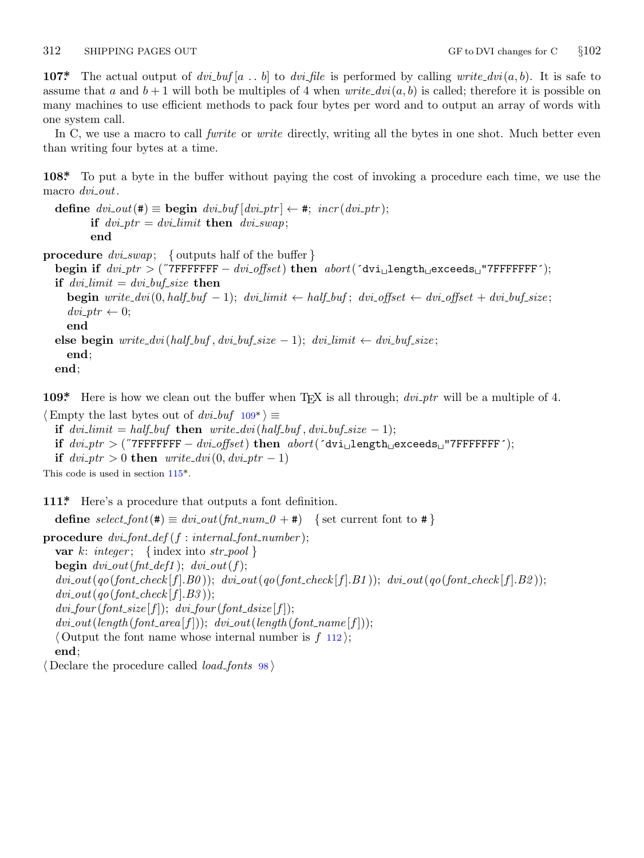<span id="page-11-0"></span>**107\*** The actual output of  $dvi_buf[a...b]$  to  $dvi_file$  is performed by calling *write\_dvi*( $a, b$ ). It is safe to assume that *a* and  $b + 1$  will both be multiples of 4 when *write\_dvi*( $a, b$ ) is called; therefore it is possible on many machines to use efficient methods to pack four bytes per word and to output an array of words with one system call.

In C, we use a macro to call *fwrite* or *write* directly, writing all the bytes in one shot. Much better even than writing four bytes at a time.

**108\*.** To put a byte in the buffer without paying the cost of invoking a procedure each time, we use the macro *dvi out*.

```
define div\_out(\textbf{\#}) \equiv \textbf{begin} \ div\_but \ [div\_ptr] \leftarrow \textbf{\#}; \ incr(dvi\_ptr);if dvi_p tr = dvilimit then dviswap;
          end
```
**procedure** *dvi swap*; *{* outputs half of the buffer *}*

```
begin if dvi ptr > (˝7FFFFFFF − dvi offset) then abort(´dvi␣length␣exceeds␣"7FFFFFFF´);
if dvi-limit = dvi-but-size then
  begin write_dvi(0, half_buf -1); dvi_limit \leftarrow half_buf; dvi_offset \leftarrow dvi_offset + dvi_buf_size;
  div\_ptr \leftarrow 0;end
else begin write\_div(half_buf, dvibuf\_size - 1); dvilimit \leftarrow dvibuf\_size;
```
**end**; **end**;

**109\*** Here is how we [clean](#page-12-0) out the buffer when T<sub>E</sub>X is all through; *dvi\_ptr* will be a multiple of 4.

*⟨*Empty the last bytes out of *dvi buf* 109\* *⟩ ≡* **if**  $dv$ *i*- $limit = half_buf$  **then**  $write\_dv$ *i*( $half_buf$ , $dv$ *i*- $buf$ *size −* 1); **if** *dvi ptr >* (˝7FFFFFFF *− dvi offset*) **then** *abort*(´dvi␣length␣exceeds␣"7FFFFFFF´); **if**  $dvi_p$  *tr*  $> 0$  **then**  $write\_dvi(0, dviptr - 1)$ This code is used in section 115\*.

**111\*.** Here's a procedure that outputs a font definition.

**define**  $select\_font(\textbf{\#}) \equiv div\_out(\text{fnt\_num\_0 + \textbf{\#}})$  {set current font to  $\textbf{\#}$ } **procedure** *dvi font def* (*f* : *internal font number* ); **var**  $k$ : *integer*; {index into *str\_pool* } **begin**  $div\_{out}(fnt\_{def1})$ ;  $div\_{out}(f)$ ;  $divi_{}out(qo(font_{}check[f].B0)); div_i_{}out(qo(font_{}check[f].B1)); div_i_{}out(qo(font_{}check[f].B2));$  $divi_$  *out*( $qo(font_{\textit{c}} \cdot \textit{check}[f].B3)$ );  $div_$ *four* (*font\_size* [*f*]);  $div_$ *four* (*font\_dsize* [*f*]);  $div\_out(length(font\_area[f]))$ ;  $div\_out(length(font\_name[f]))$ ; *⟨* Output the font name whose internal number is *f* 112 *⟩*; **end**; *⟨* Declare the procedure called *load fonts* 98 *⟩*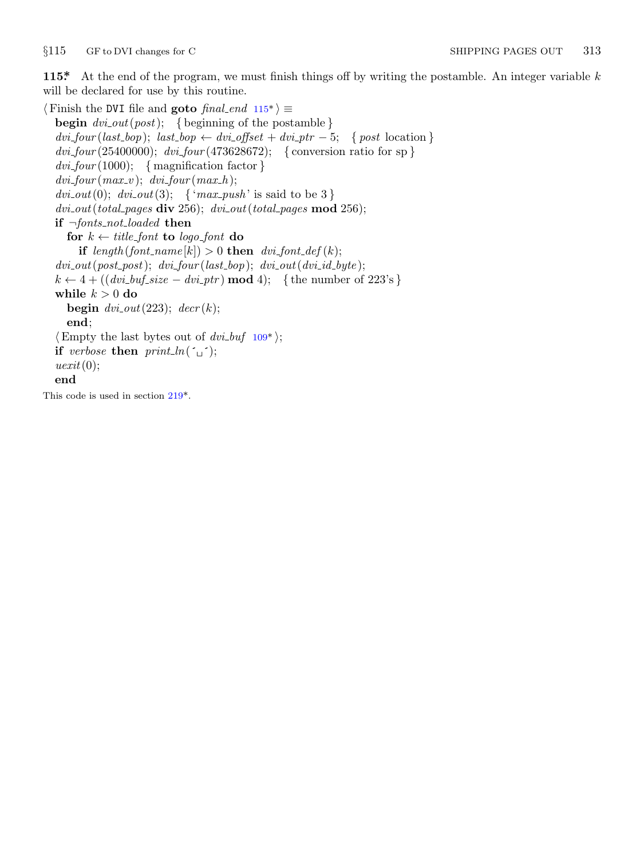<span id="page-12-0"></span>*§*115 GF to DVI changes for C SHIPPING PAGES OUT 313

**115\*.** At the end of the program, we must finish things off by writing the postamble. An integer variable *k* will be declared for use by this routine.

  $\langle$  Finish the DVI file and **goto** *final\_end*  $115^*$   $\rangle$  ≡ **begin** *dvi out*(*post*); *{* beginning of the postamble *}*  $div_1 four(last_bop); last_bop \leftarrow div_1offset + div_1ptr - 5;$  {  $post$  location } *dvi four* (25400000); *dvi four* (473628672); *{* conversion ratio for sp *} dvi four* (1000); *{* magnification factor *}*  $dvi$ *-four* ( $max_v$ );  $dvi$ *-four* ( $max_h$ );  $dvi_0(t)$ ;  $dvi_0(t)$ ;  $\{ \text{`max}_v = \text{`max}_v \}$  is said to be 3 } *dvi out*(*total pages* **div** 256); *dvi out*(*total pages* **mod** 256); **if** *¬fonts not loaded* **then for**  $k \leftarrow title{\text{-}}font{\text{ to }}\text{ }logo{\text{-}}font{\text{ }do}$ **if**  $length(font_name[k]) > 0$  **then**  $div\_font\_def(k);$  $div\_{out}(post\_post);$   $div\_{four}(last\_bop);$   $div\_{out}(div\_{id\_byte});$  $k \leftarrow 4 + ((div\_buf\_size - div\_ptr) \mod 4);$  {the number of 223's} while  $k > 0$  do **begin**  $dvi$  $dvi$ *out*(223);  $decr(k)$ ; **end**; *⟨*Empty the last bytes out of *dvi buf* 109\* *⟩*; **if** *verbose* **then**  $print\_ln(\uparrow \sqcup \uparrow)$ ; *uexit*(0); **end** This code is used in section 219\*.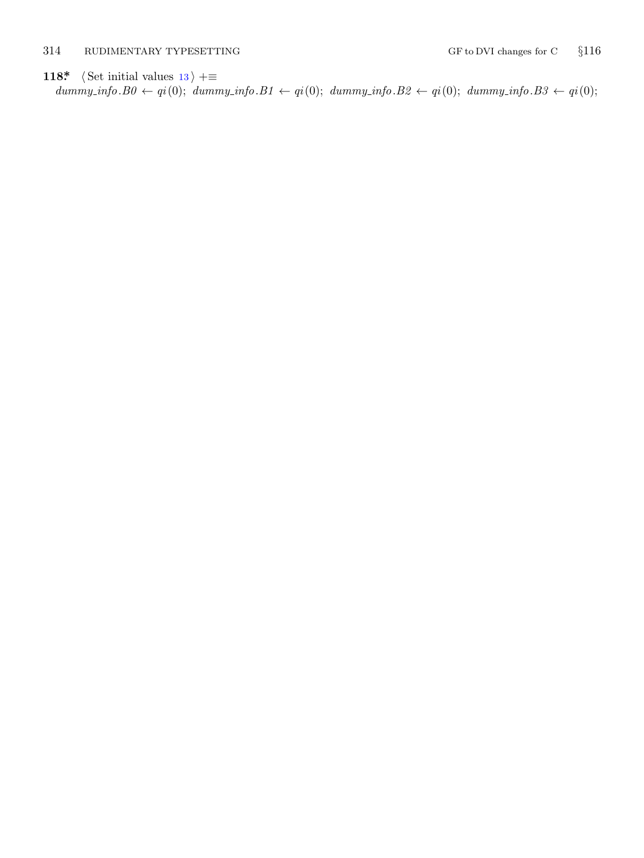### <span id="page-13-0"></span>314 RUDIMENTARY TYPESETTING GF to DVI changes for C *§*116

# **118\***  $\langle$  Set initial values 13 $\rangle$  +≡

 $\mathit{dummy_info.B0} \leftarrow qi(0); \ \mathit{dummy_info.B1} \leftarrow qi(0); \ \mathit{dummy_info.B2} \leftarrow qi(0); \ \mathit{dummy_info.B3} \leftarrow qi(0);$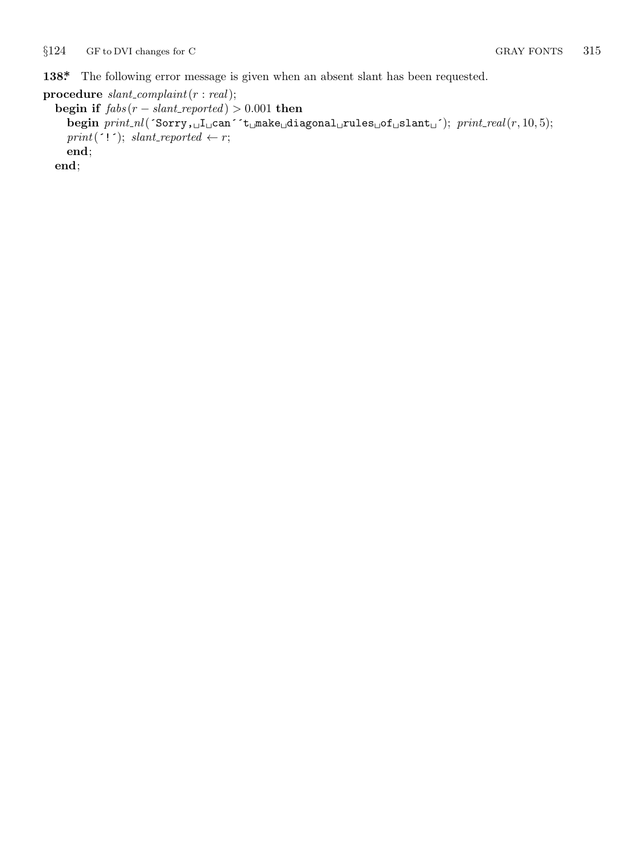<span id="page-14-0"></span>**138\*.** The following error message is given when an absent slant has been requested.

```
procedure slant complaint(r : real);
  begin if fabs(r - slant\_reported) > 0.001 then
    begin print nl(´Sorry,␣I␣can´´t␣make␣diagonal␣rules␣of␣slant␣´); print real(r, 10, 5);
    print('!'); slant-reported \leftarrow r;end;
  end;
```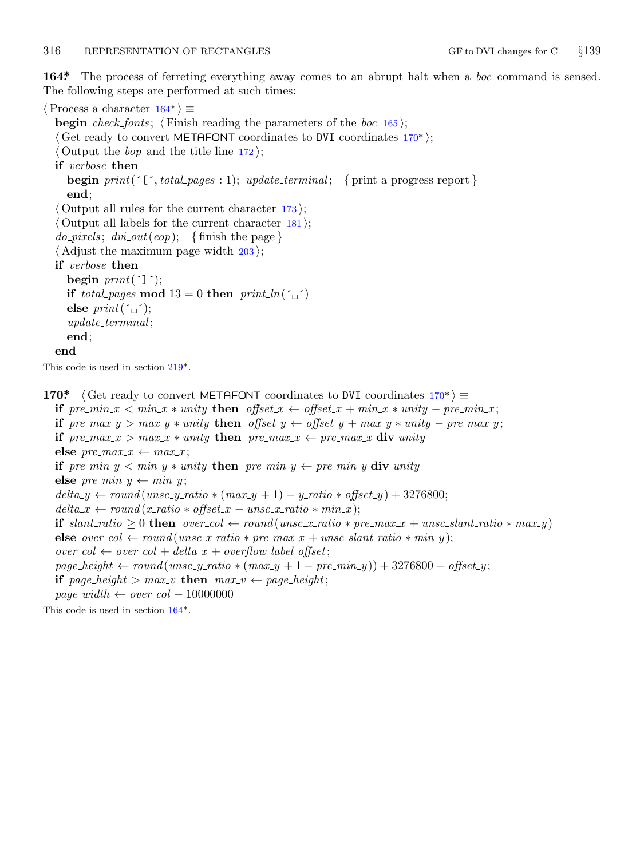<span id="page-15-0"></span>**164\*.** The process of ferreting everything away comes to an abrupt halt when a *boc* command is sensed. The following steps are performed at such times:

*⟨*Process a character 164\* *⟩ ≡* **begin** *check fonts* ; *⟨* Finish reading the parameters of the *boc* 165 *⟩*; *⟨* Get ready to convert METAFONT coordinates to DVI coordinates 170\* *⟩*; *⟨* Output the *bop* and the title line 172 *⟩*; **if** *verbose* **then begin**  $print('['', total\_pages : 1); update\_terminal; { print a progress report}$ **end**; *⟨* Output all rules for the current character 173 *⟩*; *⟨* Output all labels for the current character 181 *⟩*;  $do\_pixels$ ;  $dvi\_out(eop)$ ; {finish the page} *⟨* Adjust the maximum page width 203 *⟩*; **if** *verbose* **then begin**  $print(']$ ; **if** *total\_pages* **mod**  $13 = 0$  **then**  $print\_ln(\uparrow \qquad \uparrow)$ **else**  $print(\lceil \rceil)$ ; *update terminal* ; **end**; **end** This code is used in section 219\*. **170\***  $\langle$  Get ready to convert METAFONT coordinates to DVI coordinates 170\*  $\rangle ≡$ if  $pre\_min_x < min_x * unity$  then  $offset_x \leftarrow offset_x + min_x * unity - pre\_min_x;$ if  $pre\_max_y > max_y * unity$  then  $offset_y \leftarrow offset_y + max_y * unity - pre\_max_y;$ **if**  $pre\_max_x > max_x * unity$  **then**  $pre\_max_x \leftarrow pre\_max_x$  **div** *unity* **else**  $pre\_max_x \leftarrow max_x$ ; **if**  $pre\_min_y < min_y *$  *unity* **then**  $pre\_min_y \leftarrow pre\_min_y \textbf{div}$  *unity* **else**  $pre\_min_y \leftarrow min_y$ ;  $delta_y \leftarrow round$  ( $unsc_y\_ratio * (max_y + 1) - y\_ratio * offset_y) + 3276800;$ 

if slant\_ratio  $\geq 0$  then over\_col  $\leftarrow$  round (unsc\_x\_ratio  $*$  pre\_max\_x + unsc\_slant\_ratio  $*$  max\_y)

 $delta x \leftarrow round(x\_ratio * offset\_x - unsc\_x\_ratio * min\_x);$ 

 $over_c = \frac{1}{c}$   $\omega$  *ever*  $\omega$  + *delta\_x* + *overflow\_label\_offset*;

**if**  $page\text{-}height > max\text{-}v$  **then**  $max\text{-}v \leftarrow page\text{-}height$ ;

 $page\_width \leftarrow over\_col - 10000000$ 

This code is used in section 164\*.

 $\mathbf{else}~over\_col \leftarrow round(maxc_x\_ratio * pre\_max_x + unsc\_slant\_ratio * min_y);$ 

 $page$  *height*  $\leftarrow$  *round*(*unsc\_y\_ratio*  $\ast$  ( $max_y + 1 - pre\_min_y$ )) + 3276800 − *offset\_y*;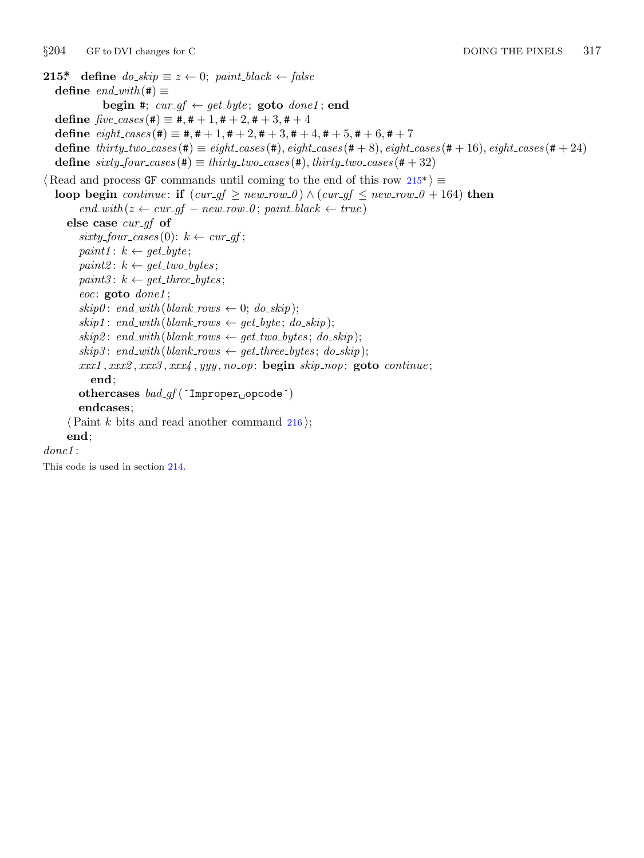```
215* define do\_skip \equiv z \leftarrow 0; paint\_black \leftarrow false\text{define} \text{ } end\_with \text{ } (\#) \equivbegin #; cur\_gf \leftarrow get\_byte; goto done1; end
   \text{define } \text{five\_cases} (\#) \equiv \#, \# +1, \# +2, \# +3, \# +4\text{define } eight\_cases (\#) \equiv \#, \# +1, \# +2, \# +3, \# +4, \# +5, \# +6, \# +7define thirty two cases (#) ≡ eight cases (#), eight cases (# + 8), eight cases (# + 16), eight cases (# + 24)
   \text{define } sixty\_four\_cases (\#) \equiv thirty\_two\_cases (\#), thirty\_two\_cases (\# + 32)⟨ Read and process GF commands until coming to the end of this row 215* ⟩ ≡
   loop begin continue: if (cur_g f \geq new_r row_0) \land (cur_g f \leq new_r row_0 + 164) then
           end\_with(z \leftarrow cur\_gf - new\_row_0; paint\_black \leftarrow true)else case cur gf of
          sixty\_\textit{four}\_\textit{cases}(0): k \leftarrow \textit{cur\_gf};paint1: k \leftarrow get\_byte;paint2: k \leftarrow get\_two\_bytes;paint3: k \leftarrow get\_three\_bytes;eoc: goto done1 ;
          skip(0.2cm) skip0 : end_with (blank_rows \leftarrow 0; do_skip);
          skip 1cm skip1; end\_with (blank\_rows \leftarrow qet\_byte; do\_skip);skip2: x^2 \text{ is } \text{supp}(x) \text{ is } x^2 \text{ is } \text{supp}(x) \text{ is } x^2 \text{ is } \text{supp}(x) \text{ is } \text{supp}(x) \text{ is } \text{supp}(x) \text{ is } \text{supp}(x) \text{ is } \text{supp}(x) \text{ is } \text{supp}(x) \text{ is } \text{supp}(x) \text{ is } \text{supp}(x) \text{ is } \text{supp}(x) \text{ is } \text{supp}(x) \text{ is } \text{supp}(x) \text{ is } \text{supp}(x) \text{ is } \text{supp}(x) \text{skip3: x, y, z \in [0, 1] skip3: end\_with(blank\_rows \leftarrow get\_three\_bytes; do\_skip);xxx1 , xxx2 , xxx3 , xxx4 , yyy , no op: begin skip nop; goto continue ;
              end;
          othercases bad gf (´Improper␣opcode´)
          endcases;
       ⟨Paint k bits and read another command 216 ⟩;
       end;
done1 :
This code is used in section 214.
```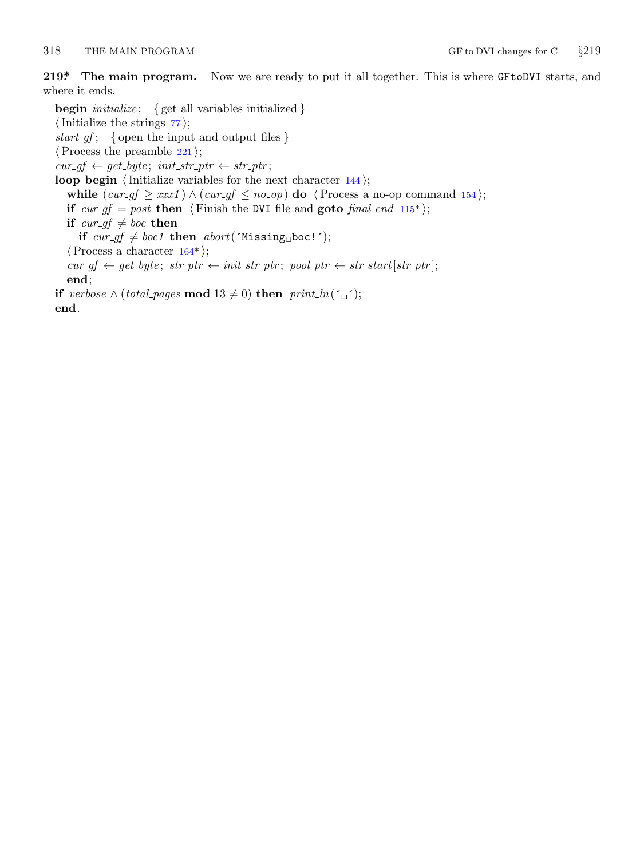<span id="page-17-0"></span>318 THE MAIN PROGRAM GF to DVI changes for C *§*219

**219\*. The main program.** Now we are ready to put it all together. This is where GFtoDVI starts, and where it ends.

**begin** *initialize* ; *{* get all variables initialized *} ⟨*Initialize the strings 77 *⟩*; *start gf* ; *{* open the input and output files *} ⟨*Process the preamble 221 *⟩*;  $cur\_gf \leftarrow get\_byte$ ;  $init\_str\_ptr \leftarrow str\_ptr$  $init\_str\_ptr \leftarrow str\_ptr$  $init\_str\_ptr \leftarrow str\_ptr$ ; **loop begin**  $\langle$  Initialize variables for the next character 144 $\rangle$ ; **while**  $\text{(cur_g f} \geq xxx1)$  ∧  $\text{(cur_g f ≤ no_o p) }$  **do**  $\text{/Process a no-op command 154};$ **if**  $cur\_gf = post$  **then**  $\langle$  Finish the DVI file and **goto** *final end* 115\*); **if**  $cur\_gf \neq boc$  **then if**  $cur\_gf \neq boc1$  **then**  $abort('Missing<sub>u</sub>boc!$ <sup> $\prime)$ ;</sup> *⟨*Process a character 164\* *⟩*;  $cur\_gf \leftarrow get\_byte$ ;  $str\_ptr \leftarrow init\_str\_ptr$ ;  $pool\_ptr \leftarrow str\_start[str\_ptr]$ ; **end**; **if** *verbose ∧* (*total\_pages* **mod**  $13 ≠ 0$ ) **then**  $print\_ln($ <sup>′</sup> $\cup$ <sup>′</sup>); **end**.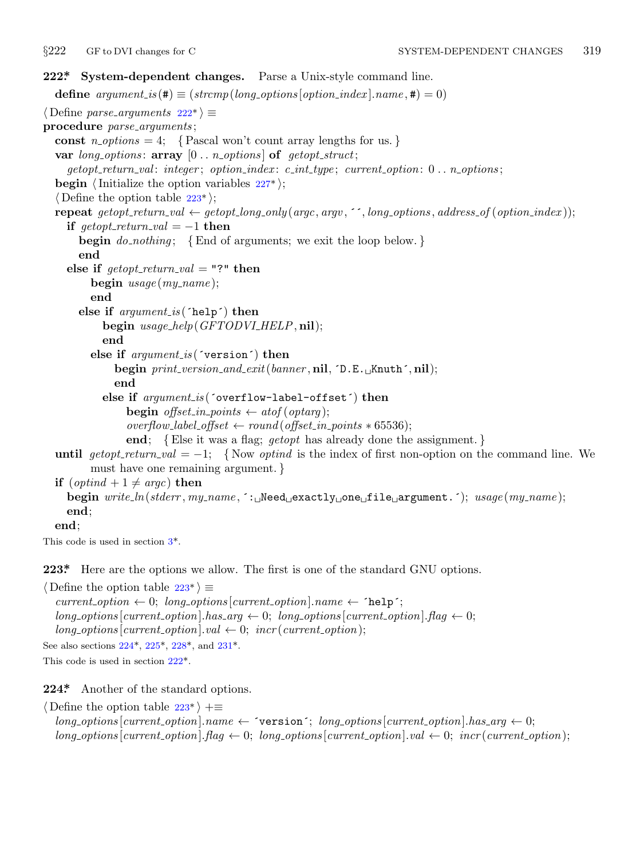<span id="page-18-0"></span>

```
222*. System-dependent changes. Parse a Unix-style command line.
  define options[option_index].name, \textbf{\#}) = 0)⟨ Define parse arguments 222* ⟩ ≡
procedure parse arguments ;
  const n\_options = 4; {Pascal won't count array lengths for us.}
  var long options : array [0 . . n options ] of getopt struct;
    getopt return val : integer ; option index : c int type ; current option: 0 . . n options ;
  begin ⟨Initialize the option variables 227* ⟩;
  ⟨ Define the option table 223* ⟩;
  repeat getopt_return_val \leftarrow getopt_long_only(argc, argv, '', long_options, address_of(option_index));
    if \text{get} \text{opt}\text{-} \text{return}\text{-}\text{val} = -1 then
       begin do nothing ; {End of arguments; we exit the loop below. }
       end
    else if \text{getopt-return\_val} = "?" then
         begin usage (my name );
         end
       else if argument is (´help´) then
           begin usage help(GFTODVI HELP, nil);
           end
         else if argument is (´version´) then
              begin print version and exit(banner , nil, ´D.E.␣Knuth´, nil);
              end
           else if argument is (´overflow−label−offset´) then
                begin offset_in_points \leftarrow atof (optarg);
                overflow\_label\_offset \leftarrow round(offset\_in\_points * 65536);end; {Else it was a flag; getopt has already done the assignment. }
  until al = -1; {Now optind is the index of first non-option on the command line. We
         must have one remaining argument. }
  if (\text{optind} + 1 \neq \text{argc}) then
    begin write ln(stderr , my name , ´:␣Need␣exactly␣one␣file␣argument.´); usage (my name );
    end;
  end;
This code is used in section 3*.
223*. Here are the options we allow. The first is one of the standard GNU options.
```
*⟨* Define the option table 223\* *⟩ ≡*

 $current\_option \leftarrow 0; long\_options[current\_option].name \leftarrow 'help';$  $long\_options$  [*current\_option*]*.has\_arg*  $\leftarrow 0$ ; *long\_options* [*current\_option*]*.flag*  $\leftarrow 0$ ;  $long\_options[current\_option].val \leftarrow 0; incr(current\_option);$ See also sections 224\*, 225\*, 228\*, and 231\*. This code is used in section 222\*.

**224\*.** Another of the standard options.

*⟨* Define the option table 223\* *⟩* +*≡*  $long-options$  [*current\_option*]*.name*  $\leftarrow$  **'version'**; *long\_options* [*current\_option*]*.has\_arg*  $\leftarrow 0$ ;  $long\_options$  [*current\_option*].  $flag \leftarrow 0$ ;  $long\_options$  [*current\_option*],  $val \leftarrow 0$ ;  $incr$  (*current\_option*);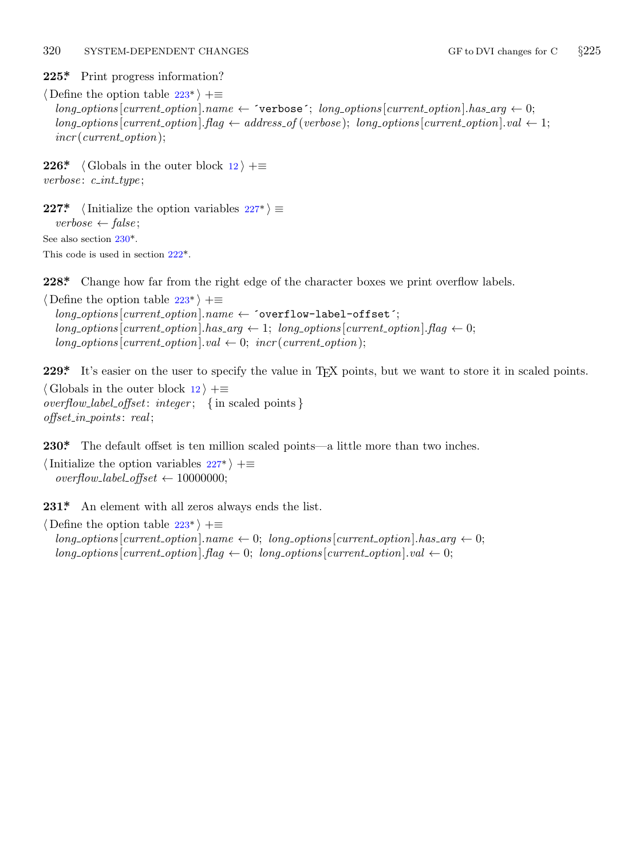#### <span id="page-19-0"></span>320 SYSTEM-DEPENDENT CHANGES GF to DVI changes for C  $\S225$

**225\*.** Print progress information?

*⟨* Define the option table 223\* *⟩* +*≡*  $long-options[current\_option].name \leftarrow \text{'verpose'}; long\_options[current\_option].has\_arg \leftarrow 0;$  $long-options$  [*current\_option*]*.flag*  $\leftarrow$  *address\_of* (*verbose*); *long\_options* [*current\_option*]*.val*  $\leftarrow$  1; *incr* (*current option*);

**226\***  $\langle$  Globals in the [oute](#page-18-0)r block  $12 \rangle + \equiv$ *verbose* : *c int type* ;

**227\***  $\langle$  Initialize the op[tion](#page-18-0) variables 227\* $\rangle \equiv$ *verbose ← false* ; See also section 230\*. This code is used in section 222\*.

**228\*.** Change how far from the right edge of the character boxes we print overflow labels.

*⟨* Define the option table 223\* *⟩* +*≡ long options* [*current option*]*.name ←* ´overflow−label−offset´;  $long-options[current\_option].has\_arg \leftarrow 1; long\_options[current\_option].flag \leftarrow 0;$  $long\_options[current\_option].val \leftarrow 0; \; \text{incr}(current\_option);$ 

**229\*** It's easier on the user to specify the value in T<sub>E</sub>X points, but we want to store it in scaled points. *⟨* Globals in the outer block 12 *⟩* +*≡ overflow label offset*: *integer* ; *{* in scaled points *} offset in points* : *real* ;

230<sup>\*</sup> The default offset [is t](#page-18-0)en million scaled points—a little more than two inches.

*⟨*Initialize the option variables 227\* *⟩* +*≡*  $overflow\_label\_offset \leftarrow 10000000;$ 

231\* An element with all zeros always ends the list.

*⟨* Define the option table 223\* *⟩* +*≡*  $long\_{options}$ [ $current\_{option}$ ]*.name*  $\leftarrow 0$ ;  $long\_{options}$ [ $current\_{option}$ ]*.has\_arg*  $\leftarrow 0$ ;  $long\_{options}$  [*current\_option*]*.flag*  $\leftarrow 0$ ; *long\_options* [*current\_option*]*.val*  $\leftarrow 0$ ;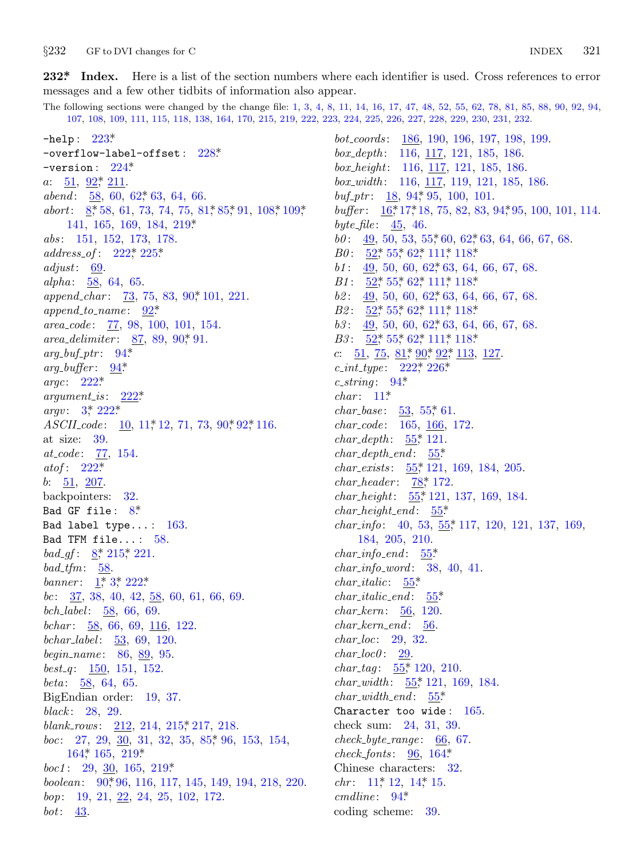<span id="page-20-0"></span> $§232$ GF to DVI changes for C

232\* Index. Here is a list of the section numbers where each identifier is used. Cross references to error messages and a few other tidbits of information also appear.

The following sections were changed by the change file: 1, 3, 4, 8, 11, 14, 16, 17, 47, 48, 52, 55, 62, 78, 81, 85, 88, 90, 92, 94, 107, 108, 109, 111, 115, 118, 138, 164, 170, 215, 219, 222, 223, 224, 225, 226, 227, 228, 229, 230, 231, 232.

-help:  $223^*$  $-$ overflow-label-offset:  $228*$ -version:  $224^*$  $a: \frac{51}{92}$ ,  $\frac{92}{3}$ ,  $\frac{211}{21}$ . abend:  $58, 60, 62, 63, 64, 66$ . abort:  $8$ <sup>\*</sup>, 58, 61, 73, 74, 75, 81<sup>\*</sup>, 85<sup>\*</sup>, 91, 108<sup>\*</sup>, 109<sup>\*</sup>,  $141, 165, 169, 184, 219*$ abs: 151, 152, 173, 178.  $address\_of: 222, 225$ adjust:  $69$ . alpha:  $\frac{58}{64}$ , 64, 65. *append\_char:*  $\frac{73}{73}$ , 75, 83, 90, 101, 221.  $append\_to_name: \quad \underline{92}^*$  $area\_code: 77, 98, 100, 101, 154.$ area\_delimiter:  $87, 89, 90, 91$ .  $arg_buf_+ptr$ : 94\*  $arg_buffer: 94*$ argc:  $222^*$  $222*$  $argument\_is$ :  $\arg v: 3^* 222^*$ ASCILcode: 10, 11, 12, 71, 73, 90, 92, 116. at size:  $39$ . *at\_code*: 77, 154. atof:  $222^*$  $b: \frac{51}{207}.$ backpointers: 32. Bad GF file:  $8^*$ Bad label type...:  $163$ . Bad TFM file...:  $58$ . bad\_gf:  $8$ <sup>\*</sup>, 215<sup>\*</sup>, 221. bad\_tfm:  $\frac{58}{58}$ . banner:  $1, 3, 222$ \* bc:  $\frac{37}{36}$ , 38, 40, 42,  $\frac{58}{66}$ , 60, 61, 66, 69. bch\_label:  $\frac{58}{66}$ , 66, 69. bchar:  $\frac{58}{66}$ , 66, 69, 116, 122. bchar\_label:  $\frac{53}{50}$ , 69, 120. begin\_name: 86, 89, 95. best\_q:  $150, 151, 152$ . *beta*:  $\frac{58}{64}$ , 64, 65. BigEndian order: 19, 37. black: 28, 29. blank\_rows: 212, 214, 215, 217, 218. *boc*: 27, 29, 30, 31, 32, 35, 85, 96, 153, 154,  $164$ <sup>\*</sup>,  $165$ ,  $219$ <sup>\*</sup>  $boc1: 29, 30, 165, 219*$ boolean:  $90^*96$ , 116, 117, 145, 149, 194, 218, 220. bop: 19, 21, 22, 24, 25, 102, 172. bot:  $\frac{43}{5}$ .

*bot\_coords:* 186, 190, 196, 197, 198, 199.  $box\_depth:$  116, 117, 121, 185, 186. box\_height:  $116, 117, 121, 185, 186$ .  $box\_width:$  116, 117, 119, 121, 185, 186. buf\_ptr:  $18, 94, 95, 100, 101$ . buffer:  $16, 17, 18, 75, 82, 83, 94, 95, 100, 101, 114$ . byte\_file:  $45, 46$ .  $b0: \underline{49}$ , 50, 53, 55, 60, 62, 63, 64, 66, 67, 68. *B0*:  $\frac{52}{52}$ ,  $55$ ,  $62$ ,  $111$ ,  $118$  $b1: \quad 49, \, 50, \, 60, \, 62, \, 63, \, 64, \, 66, \, 67, \, 68.$  $B1: \frac{52^*}{55^*} 62^* 111^* 118^*$  $b2: \quad 49, \, 50, \, 60, \, 62, \, 63, \, 64, \, 66, \, 67, \, 68.$ *B2*:  $\frac{52}{52}$ ,  $\frac{55}{52}$ ,  $\frac{62}{52}$ ,  $\frac{111}{52}$ ,  $\frac{118}{52}$  $b3: \underline{49}$ , 50, 60, 62, 63, 64, 66, 67, 68. *B3*:  $\frac{52}{52}$ ,  $55$ ,  $62$ ,  $111$ ,  $118$ c:  $\frac{51}{75}$ ,  $\frac{81}{79}$ ,  $\frac{90}{7}$ ,  $\frac{92}{7}$ ,  $\frac{113}{13}$ ,  $\frac{127}{7}$ .  $c\_int\_type: 222^*226^*$ c\_string:  $94^*$  $char: 11*$ *char\_base:*  $53, 55, 61$ .  $char\_code: 165, 166, 172.$ *char\_depth*:  $55$ <sup>\*</sup>, 121.  $char\_depth\_end: 55*$ *char\_exists*:  $\frac{55}{7}$ , 121, 169, 184, 205. *char\_header:*  $78$ <sup>\*</sup>, 172. *char\_height:*  $55$ <sup>\*</sup>, 121, 137, 169, 184.  $char\_height\_end: 55*$ *char\_info:* 40, 53,  $\frac{55}{7}$ , 117, 120, 121, 137, 169, 184, 205, 210.  $char\_info\_end: 55*$  $char_info\_word: 38, 40, 41.$  $char\_italic: 55*$  $char\_italic\_end:$   $\underline{55}^*$  $char_{-}kern: 56, 120.$  $char\_term\_end: 56.$  $char\_loc: 29, 32.$  $char\_loc0: 29.$ *char\_tag*:  $55$ <sup>\*</sup>, 120, 210. *char\_width*:  $55$ <sup>\*</sup>, 121, 169, 184.  $char\_width\_end: 55*$ Character too wide:  $165$ . check sum: 24, 31, 39.  $check\_byte\_range: 66, 67.$  $check_{\text{fonts}}$ : 96, 164\* Chinese characters: 32. *chr*:  $11^*$  12, 14<sup>\*</sup> 15.  $cmdline: 94*$ coding scheme: 39.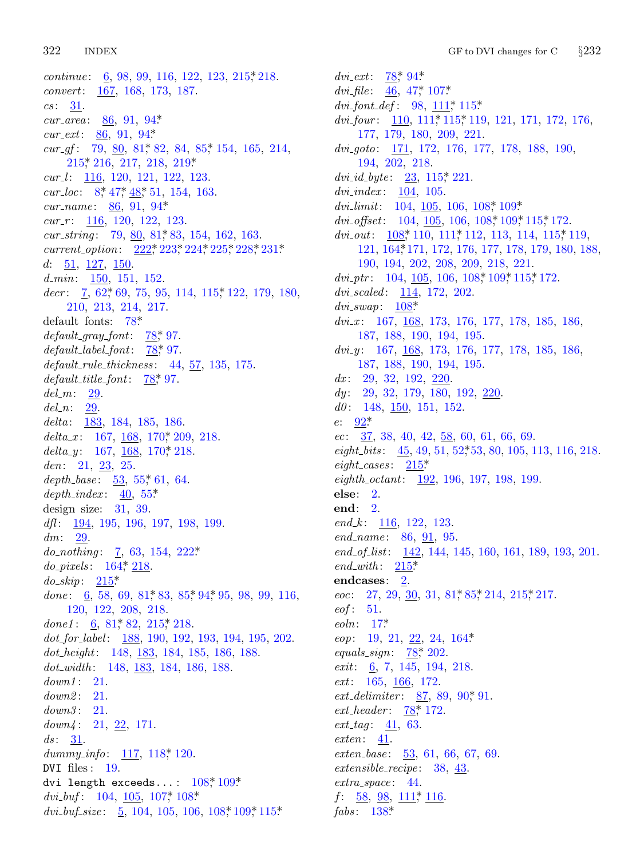322 **INDEX** 

*continue*:  $6, 98, 99, 116, 122, 123, 215, 218.$ convert: 167, 168, 173, 187.  $cs: 31.$ *cur\_area*:  $86, 91, 94*$ *cur\_ext*:  $86, 91, 94*$ *cur\_gf*:  $79, 80, 81, 82, 84, 85, 154, 165, 214,$ 215, 216, 217, 218, 219\*  $cur_l$ : 116, 120, 121, 122, 123. cur\_loc:  $8,47,48,51,154,163$ . *cur\_name*: 86, 91, 94\*  $cur_r$ : 116, 120, 122, 123. cur\_string: 79, 80, 81, 83, 154, 162, 163. current\_option: 222, 223, 224, 225, 228, 231\* d:  $\frac{51}{127}$ ,  $\frac{126}{150}$ .  $d_{\text{...}}$   $\frac{150}{151}$ , 151, 152.  $decr: \quad \underline{7}, \ 62, \ 69, \ 75, \ 95, \ 114, \ 115, \ 122, \ 179, \ 180,$ 210, 213, 214, 217. default fonts:  $78*$  $default\_gray\_font: 78,97.$  $default\_label\_font:2.373pt}$  97.  $default-rule\_thickness: 44, 57, 135, 175.$  $default\_title\_font: 78, 97.$  $del_m$ : 29.  $del\_n: 29$ . delta:  $\frac{183}{184}$ , 184, 185, 186. delta\_x: 167,  $\frac{168}{168}$ , 170, 209, 218. delta\_y: 167,  $\underline{168}$ , 170, 218. den:  $21, 23, 25$ . depth\_base:  $\frac{53}{55}$ , 55, 61, 64.  $depth\_index: 40, 55^*$ design size:  $31, 39$ . *dft*:  $\frac{194}{195}$ , 195, 196, 197, 198, 199.  $dm: \quad 29.$  $do\_nothing: 7, 63, 154, 222*$  $do\_pixels: 164, 218.$  $do\_skip: 2.215$ \* done:  $6, 58, 69, 81, 83, 85, 94, 95, 98, 99, 116,$ 120, 122, 208, 218. done1:  $6, 81, 82, 215, 218.$  $dot_{for\_label}$ :  $\frac{188}{190}$ , 190, 192, 193, 194, 195, 202.  $dot_{\cdot}$  148, 183, 184, 185, 186, 188.  $dot\_width:$  148, 183, 184, 186, 188.  $down1: 21.$  $down2: 21.$  $down3: 21.$  $down4: 21, 22, 171.$  $ds: \quad \underline{31}.$ dummy\_info:  $117, 118, 120$ . DVI files:  $19$ . dvi length exceeds...:  $108$ <sup>\*</sup>,  $109$ <sup>\*</sup>  $dvi_buf: 104, 105, 107, 108$ dvi\_buf\_size:  $\underline{5}$ , 104, 105, 106, 108, 109, 115\*

dvi\_ext:  $78$ <sup>\*</sup>, 94<sup>\*</sup> dvi\_file:  $\underline{46}$ , 47,  $\overline{107}^*$  $dvi_{\text{+}}font_{\text{+}} def: 98, 111^* \, 115^*$  $dvi_four: 110, 111, 115, 119, 121, 171, 172, 176,$ 177, 179, 180, 209, 221.  $dvigoto: \quad \underline{171}, \ 172, \ 176, \ 177, \ 178, \ 188, \ 190,$ 194, 202, 218. *dvi\_id\_byte*:  $23, 115$ ,  $221$ .  $dvi\_index: 104, 105.$ dvi\_limit:  $104, 105, 106, 108$ \*  $109$ \* dvi\_offset:  $104, 105, 106, 108, 109, 115, 172$ . dvi\_out:  $\frac{108}{100}$ , 111, 112, 113, 114, 115, 119, 121, 164, 171, 172, 176, 177, 178, 179, 180, 188, 190, 194, 202, 208, 209, 218, 221.  $div_1ptr$ : 104, 105, 106, 108, 109, 115, 172.  $dvi\_scaled$ :  $114, 172, 202$ .  $dvi\_swap: 108*$  $dvi_x$ : 167, 168, 173, 176, 177, 178, 185, 186, 187, 188, 190, 194, 195.  $dv_i$  (*dvi\_y*: 167, 168, 173, 176, 177, 178, 185, 186, 187, 188, 190, 194, 195.  $dx: 29, 32, 192, 220$  $dy: 29, 32, 179, 180, 192, 220.$  $d0: 148, 150, 151, 152.$  $e: 92^*$  $ec: 37, 38, 40, 42, 58, 60, 61, 66, 69.$ eight\_bits:  $\frac{45}{9}$ , 49, 51, 52, 53, 80, 105, 113, 116, 218. eight\_cases:  $215^*$ eighth\_octant:  $\frac{192}{196}$ , 196, 197, 198, 199.  $else: 2.$  $end: 2.$ end\_k:  $116, 122, 123$ .  $end_name: 86, 91, 95.$ end\_of\_list: 142, 144, 145, 160, 161, 189, 193, 201. end\_with:  $215^*$ endcases:  $2$ . *eoc*: 27, 29, 30, 31, 81, 85, 214, 215, 217.  $eof: 51.$  $eoln: 17^*$  $eop: 19, 21, 22, 24, 164*$ equals  $sign: 78^*$  202. *exit*:  $\frac{6}{7}$ , 7, 145, 194, 218. *ext*:  $165, 166, 172.$ *ext\_delimiter*:  $87, 89, 90, 91$ . *ext\_header:*  $78$ <sup>\*</sup>, 172. *ext\_tag*:  $41, 63$ .  $exten: \underline{41}.$  $ext{en\_base:}$  53, 61, 66, 67, 69. *extensible\_recipe:*  $38, 43$ .  $extra\_space: 44.$  $f: \underline{58}, \underline{98}, \underline{111}, \underline{116}.$ fabs:  $138^*$ 

GF to DVI changes for C

 $§232$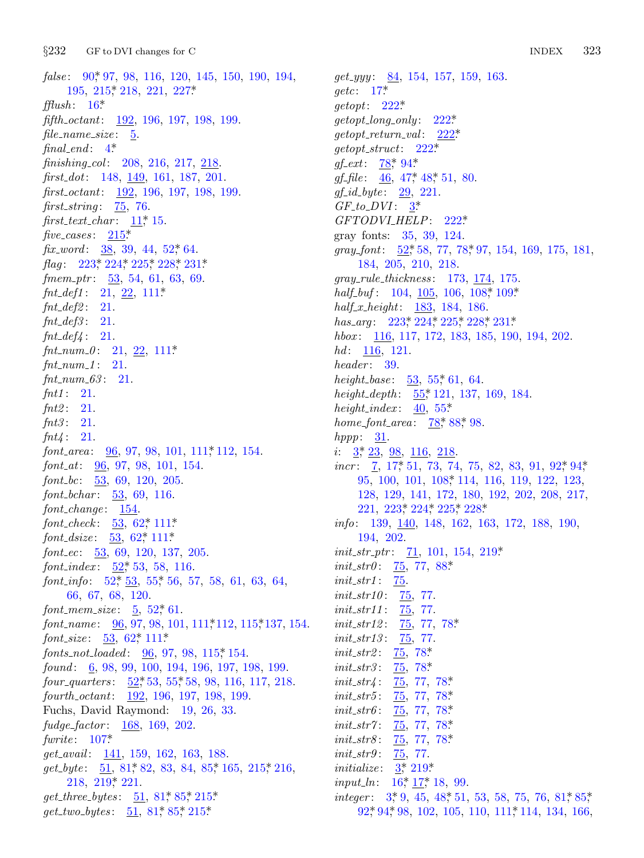$§232$ GF to DVI changes for C

false: 90, 97, 98, 116, 120, 145, 150, 190, 194, 195, 215, 218, 221, 227\*  $\text{fflush}: 16^*$ *fifth\_octant:* 192, 196, 197, 198, 199.  $file_name_size: 5$ .  $final\_end:$  4\* finishing\_col: 208, 216, 217, 218.  $first\_dot$ : 148, 149, 161, 187, 201. first\_octant: 192, 196, 197, 198, 199. first\_string:  $\frac{75}{6}$ , 76. first\_text\_char:  $11$ , 15. five\_cases:  $215^*$ fix\_word:  $38, 39, 44, 52, 64$ . *flag*:  $223$ <sup>\*</sup>,  $224$ <sup>\*</sup>,  $225$ <sup>\*</sup>,  $228$ <sup>\*</sup>,  $231$ <sup>\*</sup> fmem\_ptr:  $\frac{53}{53}$ , 54, 61, 63, 69.  $fnt\_def1: 21, 22, 111*$  $fnt\_def2: 21.$  $fnt\_def3: 21.$  $fnt\_def4: 21.$  $fnt_number.0: 21, 22, 111*$  $fnt_number1: 21.$  $fnt_number.63: 21.$  $fnt1: 21.$  $fnt2: 21.$  $fnt3: 21.$  $fnt4: 21.$ *font\_area*:  $\frac{96}{97}$ , 98, 101, 111, 112, 154.  $font_{att}: 96, 97, 98, 101, 154.$ font\_bc:  $53, 69, 120, 205$ . *font\_bchar:*  $\underline{53}$ , 69, 116.  $font\_change: \underline{154}.$  $font\_check: 53, 62^*111^*$ *font\_dsize:*  $53, 62, 111$ \* font\_ec:  $53, 69, 120, 137, 205$ . *font\_index*:  $52$ <sup>\*</sup>, 53, 58, 116. font\_info:  $52$ ,  $53$ ,  $55$ ,  $56$ ,  $57$ ,  $58$ ,  $61$ ,  $63$ ,  $64$ , 66, 67, 68, 120. *font\_mem\_size:*  $5, 52, 61$ . font\_name:  $\frac{96}{96}$ , 97, 98, 101, 111, 112, 115, 137, 154. *font\_size*:  $\underline{53}$ ,  $62$ <sup>\*</sup>,  $111$ <sup>\*</sup> fonts\_not\_loaded:  $96, 97, 98, 115, 154$ . found:  $6, 98, 99, 100, 194, 196, 197, 198, 199.$ four quarters:  $\underline{52}^*53, 55^*58, 98, 116, 117, 218.$ fourth\_octant: 192, 196, 197, 198, 199. Fuchs, David Raymond: 19, 26, 33.  $fudge\_factor: 168, 169, 202.$ fwrite:  $107^*$ *get\_avail:* 141, 159, 162, 163, 188.  $get_byte: 51, 81, 82, 83, 84, 85, 165, 215, 216,$  $218, 219, 221.$  $get\_three\_bytes: 51, 81, 85, 215$  $get\_two\_bytes: 51, 81, 85, 215$ 

 $get\_yyy: \quad 84, 154, 157, 159, 163.$  $\text{getc}: 17^*$  $\text{getopt}: 222^*$  $getopt\_long\_only: 222*$  $getopt\_return\_val:$  222\*  $getopt\_struct: 222*$  $gf_{\text{-}}ext: 78^*94^*$ *gf\_file*:  $46, 47, 48, 51, 80$ .  $gf_id\_byte: 29, 221.$  $GF_to_DVI: 3^*$ GFTODVLHELP: 222\* gray fonts: 35, 39, 124. qray\_font:  $52^*58$ , 77, 78<sup>\*</sup>97, 154, 169, 175, 181, 184, 205, 210, 218.  $gray_{\textit{-}rule\_thickness:}$  173, 174, 175. half\_buf:  $104, 105, 106, 108, 109$ \*  $half\_x\_height: 183, 184, 186.$ has\_arg:  $223$ ,  $224$ ,  $225$ ,  $228$ ,  $231$ . hbox: 116, 117, 172, 183, 185, 190, 194, 202.  $hd: 116, 121.$  $header: 39.$ height\_base:  $\frac{53}{55}$ , 55, 61, 64. height\_depth:  $55$ <sup>\*</sup>, 121, 137, 169, 184. height\_index:  $40, 55^*$ *home\_font\_area*:  $78$ <sup>\*</sup>,  $88$ <sup>\*</sup>, 98.  $hppp: 31.$ *i*:  $3$ <sup>\*</sup>,  $23$ ,  $98$ ,  $116$ ,  $218$ . *incr*: 7, 17<sup>\*</sup> 51, 73, 74, 75, 82, 83, 91, 92<sup>\*</sup> 94<sup>\*</sup> 95, 100, 101, 108, 114, 116, 119, 122, 123, 128, 129, 141, 172, 180, 192, 202, 208, 217, 221, 223, 224, 225, 228, *info:* 139,  $\frac{140}{148}$ , 148, 162, 163, 172, 188, 190, 194, 202. *init\_str\_ptr*:  $71, 101, 154, 219*$ *init\_str0*:  $\frac{75}{72}$ , 77, 88\*  $init\_str1$ : 75. *init\_str10*:  $\frac{75}{20}$ , 77. *init\_str11*:  $75, 77$ .  $75, 77, 78$  $init\_str12$ : *init\_str13*:  $\frac{75}{77}$ . *init\_str2*: 75, 78\*  $init\_str3$ :  $75, 78*$  $init\_str4$ :  $75, 77, 78$ <sup>\*</sup>  $init\_str5$ :  $\frac{75}{7},\ 77,\ 78^{*}$ *init\_str6*:  $\frac{75}{77}$ , 78<sup>\*</sup>  $75, 77, 78*$  $init\_str7$ :  $init\_str8$ :  $\frac{75}{7}, 77, 78$ *init\_str9*:  $75, 77$ . *initialize:*  $3 \div 219$ <sup>\*</sup> *input\_ln*:  $16^*$ ,  $17^*$ , 18, 99. *integer*:  $3^*$ , 9, 45, 48<sup> $*$ </sup>, 51, 53, 58, 75, 76, 81 $*$ , 85<sup>\*</sup>

323

**INDEX** 

92, 94, 98, 102, 105, 110, 111, 114, 134, 166,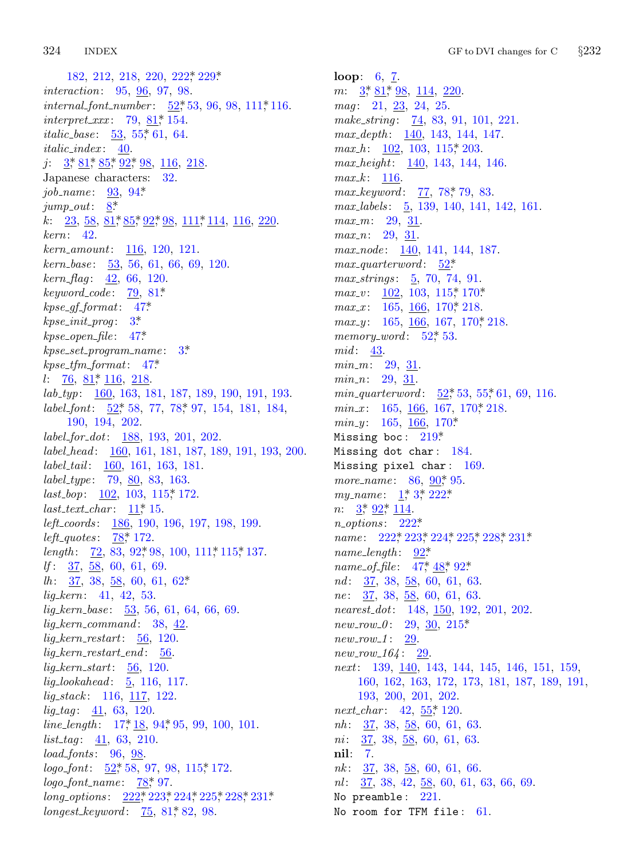#### 324 **INDEX**

182, 212, 218, 220, 222, 229\* *interaction*: 95, 96, 97, 98. *internal\_font\_number*:  $52$ <sup>\*</sup>, 53, 96, 98, 111<sup>\*</sup>, 116.  $interpret\_xxx$ : 79, 81, 154. *italic\_base*:  $\underline{53}$ ,  $55$ , 61, 64.  $italic_index: 40.$  $j: \frac{3}{5} \cdot \frac{81}{5} \cdot \frac{85}{5} \cdot \frac{92}{5} \cdot \frac{98}{5} \cdot \frac{116}{5} \cdot \frac{218}{5}$ Japanese characters: 32. job\_name:  $93, 94*$  $jump_out: 8^*$ k:  $23, 58, 81, 85, 92, 98, 111, 114, 116, 220$  $kern: 42.$  $kern\_amount: 116, 120, 121.$  $kern\_base:$  53, 56, 61, 66, 69, 120.  $\textit{kern\_flag}: \quad 42, \; 66, \; 120.$  $keyword\_code: 79, 81*$  $kpc\_gf\_format: 47*$  $kpc\_init\_prog: 3^*$  $kpse\_open\_file: 47*$  $k$ pse\_set\_program\_name:  $3^*$  $kpc\_tfm\_format: 47*$  $l: 76, 81, 116, 218.$  $lab\_typ: \quad \underline{160}$ , 163, 181, 187, 189, 190, 191, 193. label\_font:  $52$ <sup>\*</sup>, 58, 77, 78<sup>\*</sup>, 97, 154, 181, 184, 190, 194, 202.  $label\_for\_dot: 188, 193, 201, 202.$ label\_head: 160, 161, 181, 187, 189, 191, 193, 200. *label\_tail:* 160, 161, 163, 181. *label\_type*: 79, 80, 83, 163.  $last_bop: \underline{102}, 103, 115, 172.$  $last\_text\_char: 11^*15.$ *left\_coords*: 186, 190, 196, 197, 198, 199. *left\_quotes*:  $78$ <sup>\*</sup>, 172. length:  $72, 83, 92^*$  98, 100,  $111^*$  115<sup>\*</sup> 137.  $df: 37, 58, 60, 61, 69.$  $lh: \frac{37}{50}$ , 38, 58, 60, 61, 62\*  $lig\_kern: 41, 42, 53.$  $liq\text{-}kern\text{-}base: \quad 53, 56, 61, 64, 66, 69.$  $lig\_kern\_command:$  38, 42.  $lig\_kern\_restart: 56, 120.$  $lig\_kern\_restart\_end:$  56.  $lig\text{-}kern\text{-}start: \quad 56, 120.$  $lig\_look ahead: 5, 116, 117.$  $lig\_stack: 116, 117, 122.$  $lig\_tag: 41, 63, 120.$ *line\_length*:  $17, 18, 94, 95, 99, 100, 101$ .  $list\_tag: 41, 63, 210.$  $load\_fonts: 96, 98.$  $logo\_font: 52^*58, 97, 98, 115^*172.$  $logo\_font_name: 78, 97.$  $long\_options: \quad 222, 223, 224, 225, 228, 231.$  $longest\_keyword: 75, 81, 82, 98.$ 

**loop:**  $6, 7$ .  $m: \frac{3}{2}, \frac{81}{2}, \frac{98}{2}, \frac{114}{220}.$  $mag: 21, 23, 24, 25.$ make\_string: 74, 83, 91, 101, 221.  $max\_depth: 140, 143, 144, 147.$ *max\_h*:  $\underline{102}$ , 103, 115, 203.  $max\_height: 140, 143, 144, 146.$  $max_k$ : 116.  $max\_keyword: 77, 78, 79, 83.$  $max\_labels: \quad 5, 139, 140, 141, 142, 161.$  $max_m: 29, 31.$  $max_n: 29, 31.$  $max-node: 140, 141, 144, 187.$  $max_$ quarter word: 52\* *max\_strings*:  $\frac{5}{2}$ , 70, 74, 91.  $max_v: \quad \underline{102}, \; 103, \; 115, \; 170$ \*  $max_x$ : 165, 166, 170, 218.  $max_y$ : 165, 166, 167, 170, 218. memory\_word:  $52^*$  53.  $mid: 43.$  $min_m: 29, 31.$  $min_n: 29, 31.$  $min\_quarterword: \quad 52^*$  53, 55, 61, 69, 116.  $min_x$ : 165, 166, 167, 170, 218. *min.y*: 165, 166, 170\* Missing boc:  $219*$ Missing dot char: 184. Missing pixel char: 169. more\_name:  $86, 90^*$ , 95. my\_name:  $1, 3, 222$ \* *n*:  $\frac{3}{2}$ ,  $\frac{92}{2}$ ,  $\frac{114}{2}$ .  $n\_options: 222*$ name: 222, 223, 224, 225, 228, 231\*  $name_length: 92*$ name\_of\_file:  $47^*$ ,  $48^*$ ,  $92^*$ .  $nd:$   $\frac{37}{58}, 38, \frac{58}{58}, 60, 61, 63.$ *ne*:  $\frac{37}{36}$ ,  $\frac{38}{58}$ ,  $\frac{58}{60}$ ,  $\frac{61}{63}$ .  $nearest\_dot: 148, 150, 192, 201, 202.$  $new_{1}ow_{2}.0: 29, 30, 215*$  $new_{1}29.$  $new_{T}ow_{164}:$  29. next: 139, 140, 143, 144, 145, 146, 151, 159, 160, 162, 163, 172, 173, 181, 187, 189, 191, 193, 200, 201, 202. *next\_char:* 42,  $55$ <sup>\*</sup>, 120.  $nh:$  37, 38, 58, 60, 61, 63.  $ni: 37, 38, 58, 60, 61, 63.$ nil: 7.  $nk: \frac{37}{58}, \frac{38}{58}, \frac{58}{60}, \frac{61}{61}, \frac{66}{60}.$  $nl: \frac{37}{58}$ , 38, 42,  $\frac{58}{58}$ , 60, 61, 63, 66, 69. No preamble:  $221$ . No room for TFM file: 61.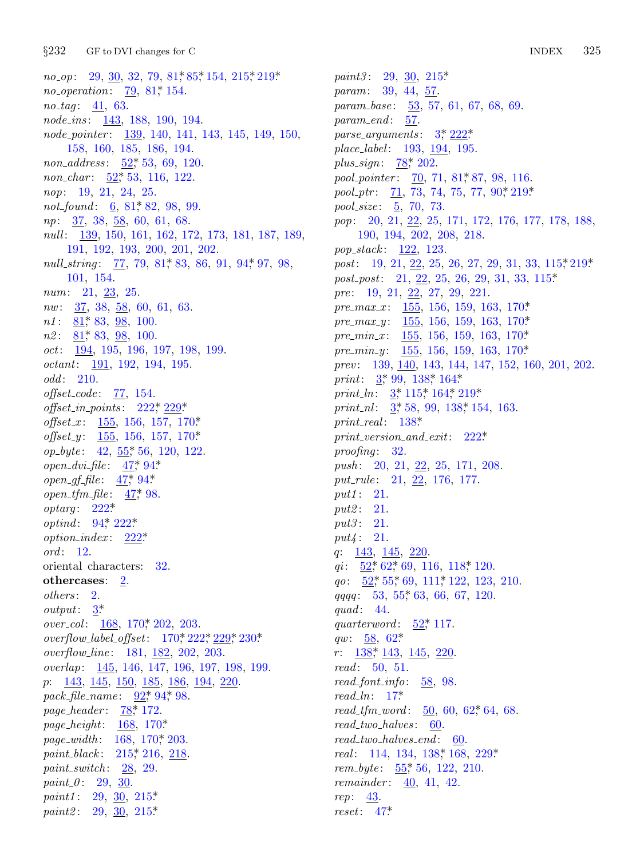$§232$ GF to DVI changes for C

 $no_{-}op: 29, 30, 32, 79, 81, 85, 154, 215, 219.$ *no\_operation*:  $\frac{79}{9}$ , 81, 154.  $no\_tag$ : 41, 63. node\_ins: 143, 188, 190, 194. node\_pointer:  $\frac{139}{140}$ , 140, 141, 143, 145, 149, 150, 158, 160, 185, 186, 194. *non\_address:*  $\underline{52}$ , 53, 69, 120. non\_char: 52,\* 53, 116, 122. nop: 19, 21, 24, 25. not found:  $6, 81^*82, 98, 99.$ *np*: 37, 38, 58, 60, 61, 68. null: 139, 150, 161, 162, 172, 173, 181, 187, 189, 191, 192, 193, 200, 201, 202. null\_string: 77, 79, 81, 83, 86, 91, 94, 97, 98, 101, 154. *num*:  $21, 23, 25$ .  $nw: 37, 38, 58, 60, 61, 63.$  $n1: 81$ , 83, 98, 100.  $n2: \underline{81}$ , 83, <u>98</u>, 100.  $oct: \quad 194, 195, 196, 197, 198, 199.$  $octant: 191, 192, 194, 195.$  $odd: 210.$  $offset\_code: 77, 154.$  $offset_in\_points: 222*229*$ *offset\_x*:  $155, 156, 157, 170*$ *offset\_y*:  $\underline{155}$ , 156, 157, 170\*  $op\_byte:$  42,  $\underline{55}$ <sup>\*</sup>, 56, 120, 122. open\_dvi\_file:  $47^*$ , 94\* *open\_gf\_file*:  $47^*$ , 94\* open\_tfm\_file:  $47$ \* 98.  $optara: 222*$ optind:  $94^*$ ,  $222^*$  $option\_index: \quad 222^*$  $\it ord: 12.$ oriental characters: 32. othercases: 2. others: 2.  $output: \quad \underline{3}^*$ over\_col: 168, 170\* 202, 203. overflow\_label\_offset:  $170, 222, 229, 230$ \* *overflow\_line*: 181, 182, 202, 203. overlap: 145, 146, 147, 196, 197, 198, 199.  $p: \quad 143, \ 145, \ 150, \ 185, \ 186, \ 194, \ 220.$ pack\_file\_name: 92,\* 94,\* 98. page\_header: 78,\* 172. *page\_height:*  $168, 170^*$ page\_width: 168, 170, 203. *paint\_black*: 215,\* 216, 218. paint\_switch:  $28, 29$ . *paint\_0*: 29, 30. *paint1*: 29, 30, 215\* *paint2*: 29,  $\frac{30}{25}$ , 215\*

*paint3*: 29, 30, 215\* param: 39, 44, 57. *param\_base:* 53, 57, 61, 67, 68, 69.  $param\_end: 57.$ parse\_arguments:  $3, \frac{222}{3}$ place\_label:  $193, 194, 195$ . *plus\_sign*:  $\frac{78}{5}$  202. pool\_pointer: 70, 71, 81, 87, 98, 116. pool\_ptr:  $\overline{71}$ , 73, 74, 75, 77, 90,  $\overline{219^*}$ *pool\_size*: 5, 70, 73. pop: 20, 21, 22, 25, 171, 172, 176, 177, 178, 188, 190, 194, 202, 208, 218. pop\_stack: 122, 123. post: 19, 21, 22, 25, 26, 27, 29, 31, 33, 115, 219\*  $post\_post: 21, 22, 25, 26, 29, 31, 33, 115*$  $pre: 19, 21, 22, 27, 29, 221.$ pre\_max\_x:  $155, 156, 159, 163, 170*$ pre\_max\_y:  $155, 156, 159, 163, 170*$ pre\_min\_x:  $\frac{155}{150}$ , 156, 159, 163, 170\* *pre\_min\_y:*  $155, 156, 159, 163, 170*$ prev: 139, 140, 143, 144, 147, 152, 160, 201, 202. print:  $3,99,138,164$ . print ln:  $3, 115, 164, 219$ print\_nl:  $3, 58, 99, 138, 154, 163$ . print\_real:  $138^*$  $print\_version\_and\_exit: 222*$ proofing:  $32$ . push: 20, 21, 22, 25, 171, 208. put\_rule: 21, 22, 176, 177.  $put1: 21.$  $put2: 21.$ *put3*: 21.  $put4: 21.$ q:  $143, 145, 220.$ qi:  $52$ <sup>\*</sup>, 62<sup>\*</sup>, 69, 116, 118<sup>\*</sup>, 120.  $qo: \frac{52}{35}, 55, 69, 111, 122, 123, 210.$  $qqqq: 53, 55, 63, 66, 67, 120.$ quad:  $44$ . quarterword:  $52^*$  117. qw:  $\frac{58}{9}$ , 62\*  $r: \quad \underline{138}$ ,  $\underline{143}$ ,  $\underline{145}$ ,  $\underline{220}$ .  $read: 50, 51.$  $read\_font\_info: 58, 98.$  $read\_ln: 17^*$  $read\_tfm\_word: 50, 60, 62, 64, 68.$  $read\_two\_halves: 60.$  $read\_two\_halves\_end:$  60. real: 114, 134, 138, 168, 229. *rem\_byte*:  $\frac{55}{56}$ , 56, 122, 210. *remainder*:  $\frac{40}{41}$ , 42.  $rep: \quad 43.$ 

 $reset: 47*$ 

325 **INDEX**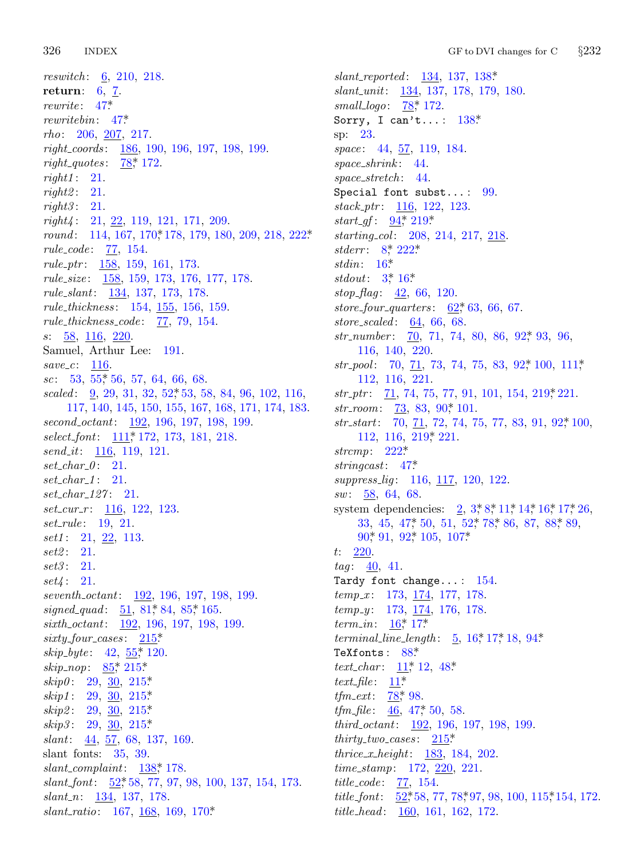326 **INDEX** 

*reswitch*:  $6, 210, 218$ . return:  $6, \underline{7}$ .  $rewrite: 47*$  $rewritebin: 47^*$ *rho*:  $206, \underline{207}, 217.$  $right\_coordinates: \quad \underline{186}, \ 190, \ 196, \ 197, \ 198, \ 199.$ *right\_quotes*:  $78$ <sup>\*</sup>, 172.  $right1: 21.$  $right2: 21.$  $right3: 21.$  $right4: 21, 22, 119, 121, 171, 209.$ round: 114, 167, 170, 178, 179, 180, 209, 218, 222\*  $rule\_code: 77, 154.$ rule\_ptr:  $\frac{158}{159}$ , 159, 161, 173.  $rule\_size:$   $\frac{158}{159}$ , 159, 173, 176, 177, 178. rule\_slant: 134, 137, 173, 178. rule\_thickness: 154, 155, 156, 159.  $rule\_thickness\_code: 77, 79, 154.$  $s: \frac{58}{00}, \frac{116}{00}, \frac{220}{00}.$ Samuel, Arthur Lee: 191.  $save\_c$ : 116.  $sc: 53, 55, 56, 57, 64, 66, 68.$ scaled:  $\frac{9}{2}$ , 29, 31, 32, 52, 53, 58, 84, 96, 102, 116, 117, 140, 145, 150, 155, 167, 168, 171, 174, 183. second\_octant:  $\frac{192}{196}$ , 196, 197, 198, 199. select\_font: 111,\* 172, 173, 181, 218. *send\_it:*  $116, 119, 121.$  $set\_char_0$ : 21.  $set_{char_1}: 21.$  $set_{char\_127}: 21.$  $set\_curr_r$ : 116, 122, 123. set\_rule: 19, 21. *set1*:  $21, 22, 113.$  $set2: 21.$  $set3: 21.$  $set4: 21.$ seventh\_octant: 192, 196, 197, 198, 199. signed\_quad:  $51, 81, 84, 85, 165$ . sixth\_octant: 192, 196, 197, 198, 199.  $sixty\_four\_cases: \quad \underline{215}^*$ skip\_byte:  $42, 55$ <sup>\*</sup> 120. skip\_nop:  $85$ <sup>\*</sup>, 215<sup>\*</sup> skip0: 29, 30, 215\* skip1: 29,  $\frac{30}{25}$ , 215\*  $skip2: 29, 30, 215*$ skip3: 29, 30, 215\* slant: 44, 57, 68, 137, 169. slant fonts:  $35, 39$ .  $slant\_complaint: 138, 178.$  $slant\text{-}font$ :  $\underline{52}^*$  58, 77, 97, 98, 100, 137, 154, 173.  $slant_n$ : 134, 137, 178. slant\_ratio: 167, 168, 169, 170\*

 $slant\_reported: 134, 137, 138*$ slant\_unit: 134, 137, 178, 179, 180. small\_logo:  $78^*$  172. Sorry, I can't...:  $138$ <sup>\*</sup> sp: 23. space: 44, 57, 119, 184.  $space\_shrink: 44.$ space stretch:  $44.$ Special font subst...:  $99$ .  $stack\_ptr: 116, 122, 123.$ *start\_gf*:  $94$ <sup>\*</sup>,  $219$ <sup>\*</sup> starting\_col: 208, 214, 217, 218. *stderr*:  $8^*$  222\* stdin:  $16^*$  $stdout: 3*16*$  $stop\_{flag}: 42, 66, 120.$ store\_four\_quarters:  $62, 63, 66, 67$ . store\_scaled:  $64, 66, 68$ . str\_number:  $\overline{70}$ , 71, 74, 80, 86, 92, 93, 96, 116, 140, 220.  $str_{\perp} pool: 70, 71, 73, 74, 75, 83, 92, 100, 111,$ 112, 116, 221.  $str\_ptr$ :  $\overline{71}$ , 74, 75, 77, 91, 101, 154, 219, 221. str\_room:  $\frac{73}{5}$ , 83, 90, 101.  $str\_start$ : 70, 71, 72, 74, 75, 77, 83, 91, 92, 100, 112, 116, 219, 221. strcmp:  $222^*$ stringcast:  $47^*$ *suppress\_lig*: 116, 117, 120, 122.  $sw: 58, 64, 68.$ system dependencies:  $2, 3, 8, 11, 14, 16, 17, 26,$ 33, 45, 47, 50, 51, 52, 78, 86, 87, 88, 89, 90, 91, 92, 105, 107\*  $t: 220.$  $tag 40, 41.$ Tardy font change...: 154.  $temp_x$ : 173, <u>174</u>, 177, 178.  $temp_{y}: 173, 174, 176, 178.$ *term\_in*:  $16^*$ , 17\* *terminal\_line\_length*:  $5, 16, 17, 18, 94$ \* TeXfonts: 88\* *text\_char:*  $11$ <sup>\*</sup>, 12, 48<sup>\*</sup> text\_file:  $11^*$ *tfm\_ext*:  $78$ <sup>\*</sup>, 98. *tfm\_file*:  $\frac{46}{46}$ , 47<sup>\*</sup>, 50, 58. *third\_octant:*  $192, 196, 197, 198, 199$ . *thirty\_two\_cases:*  $215$ <sup>\*</sup> *thrice\_x\_height:*  $183, 184, 202$ .  $time\_stamp: 172, 220, 221.$ *title\_code*:  $\frac{77}{2}, 154$ . *title\_font*:  $52,58,77,78,97,98,100,115,154,172.$ *title\_head:* 160, 161, 162, 172.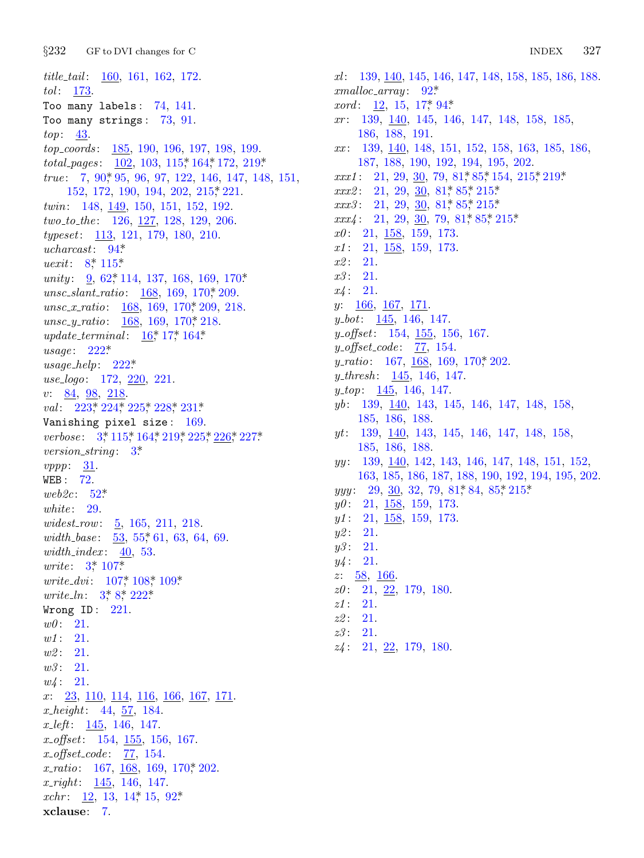$§232$ GF to DVI changes for C

*title\_tail:* 160, 161, 162, 172.  $tol: \frac{173}{2}$ . Too many labels:  $74, 141$ . Too many strings:  $73, 91$ .  $top: \underline{43}.$ top\_coords: 185, 190, 196, 197, 198, 199. total\_pages:  $102, 103, 115, 164, 172, 219$ \* true:  $7, 90, 95, 96, 97, 122, 146, 147, 148, 151,$ 152, 172, 190, 194, 202, 215, 221. twin:  $148, 149, 150, 151, 152, 192.$ two\_to\_the: 126, 127, 128, 129, 206. *typeset*: 113, 121, 179, 180, 210.  $ucharcast: 94*$ *uexit*:  $8^*$  115\* *unity*:  $9, 62, 114, 137, 168, 169, 170$ unsc\_slant\_ratio:  $\frac{168}{169}$ , 169, 170, 209. unsc\_x\_ratio:  $\frac{168}{169}$ , 169, 170, 209, 218. unsc\_y\_ratio:  $\frac{168}{169}$ , 169, 170, 218. *update\_terminal*:  $16^* 17^* 164^*$  $usage: 222*$  $usage\_help: 222*$ use\_logo: 172, 220, 221.  $v: 84, 98, 218.$ val:  $223$ <sup>\*</sup>,  $224$ <sup>\*</sup>,  $225$ <sup>\*</sup>,  $228$ <sup>\*</sup>,  $231$ <sup>\*</sup> Vanishing pixel size: 169. verbose: 3,\* 115,\* 164,\* 219,\* 225,\* 226,\* 227\* *version\_string*:  $3^*$  $vppp: 31.$ WEB:  $72$ . web2c:  $52^*$ white:  $29.$ widest\_row:  $\underline{5}$ , 165, 211, 218. width\_base:  $\frac{53}{55}$ , 55, 61, 63, 64, 69.  $width\_index: 40, 53.$ *write*:  $3^{*}$  107\* *write\_dvi*:  $107^*$   $108^*$   $109^*$ *write\_ln:*  $3, 8, 222$ \* Wrong  $ID: 221$ .  $w0: 21.$  $w1: 21.$  $w2: 21.$  $w3: 21.$  $w_4$ : 21.  $x: \quad 23, \ 110, \ 114, \ 116, \ 166, \ 167, \ 171.$  $x_{\text{+}}\rightarrow 44, 57, 184.$  $x_{\text{u}} = 145, 146, 147.$  $x \text{-} offset: 154, 155, 156, 167.$  $x\_offset\_code: 77, 154.$  $x\_ratio: 167, 168, 169, 170, 202.$  $x$ -right:  $\frac{145}{146}$ , 146, 147. xchr:  $12, 13, 14, 15, 92$ \* xclause: 7.

 $xl:$  139, 140, 145, 146, 147, 148, 158, 185, 186, 188.  $cmalloc\_array: 92*$ *xord*:  $12, 15, 17, 94$  $xr: 139, 140, 145, 146, 147, 148, 158, 185,$ 186, 188, 191.  $xx: 139, 140, 148, 151, 152, 158, 163, 185, 186,$ 187, 188, 190, 192, 194, 195, 202.  $xxx1: 21, 29, 30, 79, 81, 85, 154, 215, 219$ \*  $xxx2: 21, 29, 30, 81, 85, 215$  $xxx3: \quad 21, \ 29, \ \underline{30}, \ 81, \ 85, \ 215$  $xxx4$ : 21, 29, 30, 79, 81\* 85\* 215\*  $x0: 21, 158, 159, 173.$  $x1: 21, 158, 159, 173.$  $x2: 21.$  $x3: 21.$  $x_4$ : 21.  $y: \underline{166}, \underline{167}, \underline{171}.$  $y_{\text{-}}bot$ : 145, 146, 147.  $y_{\textit{offset}}$ : 154, 155, 156, 167.  $y\text{-}offset\text{-}code: 77, 154.$ y\_ratio: 167,  $\frac{168}{169}$ , 169, 170, 202. *y*\_thresh:  $145$ ,  $146$ ,  $147$ .  $y_{\text{-}}top: 145, 146, 147.$  $yb: 139, 140, 143, 145, 146, 147, 148, 158,$ 185, 186, 188.  $yt: 139, 140, 143, 145, 146, 147, 148, 158,$ 185, 186, 188. yy: 139, 140, 142, 143, 146, 147, 148, 151, 152, 163, 185, 186, 187, 188, 190, 192, 194, 195, 202.  $yyy: 29, 30, 32, 79, 81, 84, 85, 215$  $y0: 21, 158, 159, 173.$  $y1: 21, 158, 159, 173.$  $y2: 21.$  $y3: 21.$  $y4: 21.$  $z: \frac{58}{9}, \frac{166}{9}$  $z0: 21, 22, 179, 180.$  $z1: 21.$  $z2:21.$  $z3:21.$ 

 $z_4$ : 21, 22, 179, 180.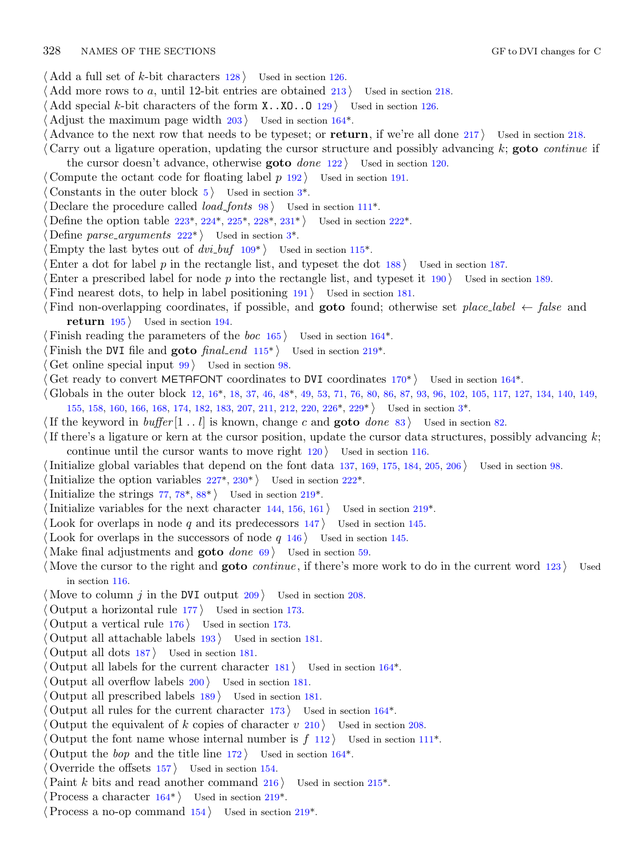- *⟨* Add a full set of *k*-bit characters 128 *⟩* Used in section 126.
- *⟨* Add more rows to *a*, until 12-bit entries are obtained 213 *⟩* Used in section 218.
- *⟨* Add special *k*-bit characters of the form X..XO[..](#page-1-0)O 129 *⟩* Used in section 126.
- *⟨* Adjust the maximum page width 203 *⟩* Used in section 164\*.
- *⟨* Advance to the next ro[w th](#page-18-0)a[t ne](#page-18-0)e[ds t](#page-19-0)o [be](#page-19-0) t[ypes](#page-19-0)et; or **return**, if [we'r](#page-18-0)e all done 217 *⟩* Used in section 218.
- *⟨* Carry out a ligature ope[rati](#page-18-0)on, updating the [c](#page-1-0)ursor structure and possibly advancing *k*; **goto** *continue* if the cursor doesn't advance, other[wis](#page-11-0)e **goto** *done* 122 *⟩* [U](#page-12-0)sed in section 120.
- *⟨* Compute the octant code for floating label *p* 192 *⟩* Used in section 191.
- Constants in the outer block  $5$  Used in section  $3^*$ .
- *<u>Declare the procedure called <i>load\_fonts* 98 *\* Used in section 111<sup>\*</sup>.</u>
- Define the option table 223\*, 224\*, 225\*, 228\*, 231\* *\* Used in section 222\*.
- Define *parse\_arguments*  $222^*$  Used in section  $3^*$ .
- Empty the last bytes out of  $dvi_buf$  109<sup>\*</sup> $\rangle$  Used in section 115<sup>\*</sup>.
- *⟨*Enter a dot for label *p* in the rectangle [list](#page-12-0), and typeset the [dot](#page-17-0) 188 *⟩* Used in section 187.
- *Characeribed label for node p* into the rectangle list, and typeset it 190 *S* Used in section 189.
- *Find nearest dots, to help in label positioning 191 <i>\* Used in section [18](#page-15-0)1.
- *⟨* Find non-overlapping coordin[ate](#page-2-0)s, if possib[le,](#page-3-0) and **goto** found; otherwise set *place label ← false* and **return**  $195$  Used in section 194.
- *⟨* Finish reading the parameters of the *boc* 165 *⟩* Used in section 164\*.
- *Finish the DVI file and goto*  $\text{final\_end 115}^*$  *<i>Used in section 219\*.*
- *Get online special input*  $99$  *Vsed in section 98.*
- *Cet ready to convert METAFONT coordinates to DVI coordinates*  $170^*$  *Used in section*  $164^*$ *.*
- *⟨* Globals in the outer block 12, [16\\*](#page-19-0), [18,](#page-19-0) 37, 46, 48\*, 49, 53, 71, [76](#page-18-0), 80, 86, 87, 93, 96, 102, 105, 117, 127, 134, 140, 149, 155, 158, 160, 166, 168, [174](#page-7-0), [182](#page-9-0), 183, 207, 211, 212, [220](#page-17-0), 226\*, 229\* *⟩* Used in section 3\*.
- *⟨*If the keyword in *buffer* [1 *. . l*] is known, change *c* and **goto** *done* 83 *⟩* [U](#page-17-0)sed in section 82.
- *⟨*If there's a ligature or kern at the cursor position, update the cursor data structures, possibly advancing *k*;
- continue until the cursor wants to move right 120 *⟩* Used in section 116.
- *⟨*Initialize global variables that depend on the font data 137, 169, 175, 184, 205, 206 *⟩* Used in section 98.
- Initialize the option variables  $227^*$ ,  $230^*$  Used in section  $222^*$ .
- Initialize the strings  $77, 78^*, 88^*$  Used in section  $219^*$ .
- *Initialize variables for the next character*  $144, 156, 161$  *<i>Vsed in section 219\*.*
- *⟨* Look for overlaps in node *q* and its predecessors 147 *⟩* Used in section 145.
- *⟨* Look for overlaps in the successors of node *q* 146 *⟩* Used in section 145.
- *⟨* Make final adjustments and **goto** *done* 69 *⟩* Used in section 59.
- *⟨* Move the cursor to the right and **goto** *continue* , if there's more work to do in the current word 123 *⟩* Used in section 116.
- *⟨* Move to column *j* in the DVI output 209 *⟩* Used in section 208.
- *⟨* Output a horizontal rule 177 *⟩* Used in section 173.
- *⟨* Output a vertical rule 176 *⟩* Used in section 173.
- *⟨* Output all attachable labels 193 *⟩* Used in section 181.
- *⟨* Output all dots 187 *⟩* Used in section 181.
- *Output all labels for the current character*  $181$  */* Used [in s](#page-15-0)ection  $164^*$ .
- *⟨* Output all overflow labels 200 *⟩* Used in section 181.
- *⟨* Output all prescribed labels 189 *⟩* Used in section 181.
- *<u>Output all rules for [the](#page-15-0) current character [17](#page-17-0)3</del> Used in section*  $164^*$ *.*</u>
- Output the equivalent of *k* copies of character  $v$  [21](#page-17-0)0 *a* Used in section 208.
- Output the font name whose internal number is  $f(112)$  Used in section 111<sup>\*</sup>.
- Output the *bop* and the title line  $172$  Used in section  $164^*$ .
- *⟨* Override the offsets 157 *⟩* Used in section 154.
- Paint *k* bits and read another command 216 *\* Used in section 215<sup>\*</sup>.
- *Process a character*  $164^*$  *Vsed in section 219\*.*
- *⟨*Process a no-op command 154 *⟩* Used in section 219\*.